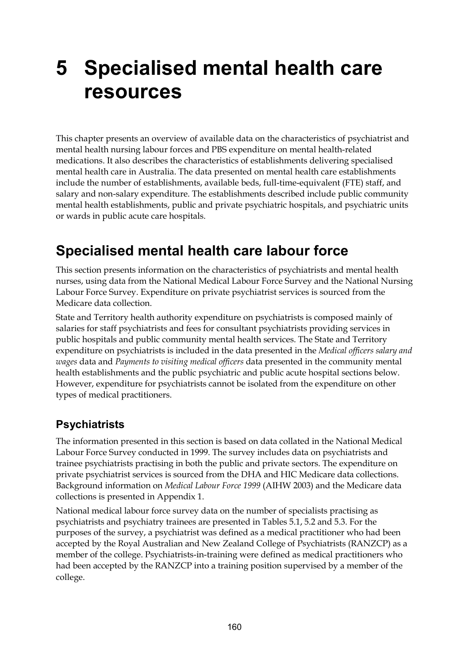# **5 Specialised mental health care resources**

This chapter presents an overview of available data on the characteristics of psychiatrist and mental health nursing labour forces and PBS expenditure on mental health-related medications. It also describes the characteristics of establishments delivering specialised mental health care in Australia. The data presented on mental health care establishments include the number of establishments, available beds, full-time-equivalent (FTE) staff, and salary and non-salary expenditure. The establishments described include public community mental health establishments, public and private psychiatric hospitals, and psychiatric units or wards in public acute care hospitals.

### **Specialised mental health care labour force**

This section presents information on the characteristics of psychiatrists and mental health nurses, using data from the National Medical Labour Force Survey and the National Nursing Labour Force Survey. Expenditure on private psychiatrist services is sourced from the Medicare data collection.

State and Territory health authority expenditure on psychiatrists is composed mainly of salaries for staff psychiatrists and fees for consultant psychiatrists providing services in public hospitals and public community mental health services. The State and Territory expenditure on psychiatrists is included in the data presented in the *Medical officers salary and wages* data and *Payments to visiting medical officers* data presented in the community mental health establishments and the public psychiatric and public acute hospital sections below. However, expenditure for psychiatrists cannot be isolated from the expenditure on other types of medical practitioners.

### **Psychiatrists**

The information presented in this section is based on data collated in the National Medical Labour Force Survey conducted in 1999. The survey includes data on psychiatrists and trainee psychiatrists practising in both the public and private sectors. The expenditure on private psychiatrist services is sourced from the DHA and HIC Medicare data collections. Background information on *Medical Labour Force 1999* (AIHW 2003) and the Medicare data collections is presented in Appendix 1.

National medical labour force survey data on the number of specialists practising as psychiatrists and psychiatry trainees are presented in Tables 5.1, 5.2 and 5.3. For the purposes of the survey, a psychiatrist was defined as a medical practitioner who had been accepted by the Royal Australian and New Zealand College of Psychiatrists (RANZCP) as a member of the college. Psychiatrists-in-training were defined as medical practitioners who had been accepted by the RANZCP into a training position supervised by a member of the college.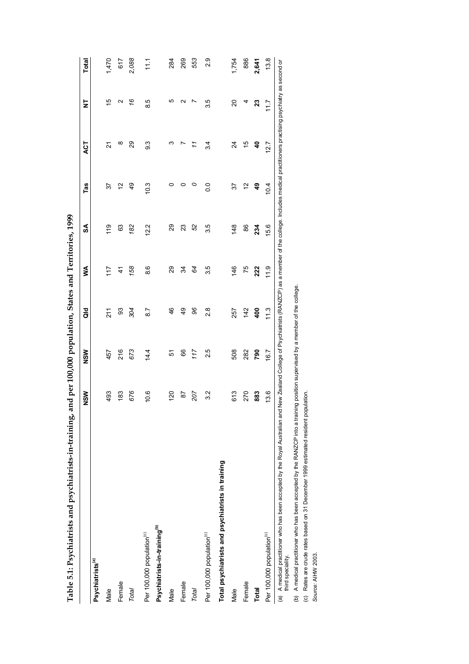| $\frac{1}{2}$                                        |
|------------------------------------------------------|
| $\vdots$<br>$\frac{1}{2}$                            |
| י<br>נו<br>Linkas are d<br>I                         |
|                                                      |
| ;<br>;                                               |
| ı                                                    |
| ואית במה היה היה היה היה בית היה ה                   |
| $\vdots$                                             |
| í                                                    |
| $-1$<br>í                                            |
| ֦<br>l<br>$\frac{1}{2}$<br>ļ<br>ĺ<br>ׇ֚֬<br>֚֚֬<br>۱ |
| י<br>l<br>)<br>٥<br>l<br>¢<br>ì<br>t<br>I<br>l       |

|                                                                                                   | NSW  | NSM                                                                                                                                         | a<br>G        | ≸             | SA             | Tas            | ACT                     | ż                          | <b>Total</b>   |
|---------------------------------------------------------------------------------------------------|------|---------------------------------------------------------------------------------------------------------------------------------------------|---------------|---------------|----------------|----------------|-------------------------|----------------------------|----------------|
| Psychiatrists <sup>(a)</sup>                                                                      |      |                                                                                                                                             |               |               |                |                |                         |                            |                |
| Male                                                                                              | 493  | 457                                                                                                                                         | 211           | 117           | 119            | 57             | 21                      | 10                         | 1,470          |
| Female                                                                                            | 183  | 216                                                                                                                                         | 93            | $\frac{4}{5}$ | 63             | $\tilde{c}$    | ∞                       | Ν                          | 617            |
| Total                                                                                             | 676  | 673                                                                                                                                         | 304           | 158           | 182            | 49             | 29                      | 16                         | 2,088          |
| Per 100,000 population <sup>(c)</sup>                                                             | 10.6 | 14.4                                                                                                                                        | 8.7           | 8.6           | 12.2           | 10.3           | 3.3                     | 8.5                        | $\frac{1}{11}$ |
| Psychiatrists-in-training <sup>(b)</sup>                                                          |      |                                                                                                                                             |               |               |                |                |                         |                            |                |
| Male                                                                                              | 20   | řδ                                                                                                                                          | 46            | 29            | 29             | 0              | ო                       | ю                          | 284            |
| Female                                                                                            | 5    | 66                                                                                                                                          | 49            | 34            | 23             | 0              |                         | Ν                          | 269            |
| Total                                                                                             | 207  | 117                                                                                                                                         | 96            | 84            | 52             | 0              | 11                      | N                          | 553            |
| Per 100,000 population <sup>(c)</sup>                                                             | 3.2  | 2.5                                                                                                                                         | $\frac{8}{2}$ | 35            | 3.5            | $\overline{0}$ | $3\overline{4}$         | 35                         | 2.9            |
| Total psychiatrists and psychiatrists in training                                                 |      |                                                                                                                                             |               |               |                |                |                         |                            |                |
| Male                                                                                              | 613  | 508                                                                                                                                         | 257           | 146           | $\frac{48}{5}$ | 57             | 24                      | 20                         | 1,754          |
| Female                                                                                            | 270  | 282                                                                                                                                         | 142           | 75            | 86             | 51             | 10                      | 4                          | 886            |
| <b>Total</b>                                                                                      | 883  | 790                                                                                                                                         | 400           | 222           | 234            | \$             | $\overline{\mathbf{a}}$ | $\boldsymbol{\mathcal{Z}}$ | 2,641          |
| Per 100,000 population <sup>(c)</sup>                                                             | 13.6 | 16.7                                                                                                                                        | 11.3          | 11.9          | 15.6           | 10.4           | 12.7                    | 717                        | 13.8           |
| (a) A medical practitioner who has been accepted by the Royal Australian and<br>third speciality. |      | New Zealand College of Psychiatrists (RANZCP) as a member of the college. Includes medical practitioners practising psychiatry as second or |               |               |                |                |                         |                            |                |

(b) A medical practitioner who has been accepted by the RANZCP into a training position supervised by a member of the college.<br>(c) Rates are crude rates based on 31 December 1999 estimated resident population.<br>Source: AIHW (b) A medical practitioner who has been accepted by the RANZCP into a training position supervised by a member of the college.

(c) Rates are crude rates based on 31 December 1999 estimated resident population.

*Source:* AIHW 2003.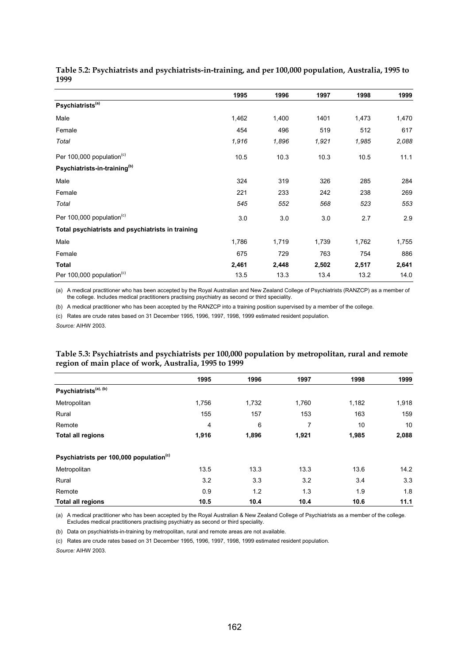|                                                   | 1995  | 1996  | 1997  | 1998  | 1999  |
|---------------------------------------------------|-------|-------|-------|-------|-------|
| Psychiatrists <sup>(a)</sup>                      |       |       |       |       |       |
| Male                                              | 1,462 | 1,400 | 1401  | 1,473 | 1,470 |
| Female                                            | 454   | 496   | 519   | 512   | 617   |
| Total                                             | 1,916 | 1,896 | 1,921 | 1,985 | 2,088 |
| Per 100,000 population <sup>(c)</sup>             | 10.5  | 10.3  | 10.3  | 10.5  | 11.1  |
| Psychiatrists-in-training <sup>(b)</sup>          |       |       |       |       |       |
| Male                                              | 324   | 319   | 326   | 285   | 284   |
| Female                                            | 221   | 233   | 242   | 238   | 269   |
| Total                                             | 545   | 552   | 568   | 523   | 553   |
| Per 100,000 population <sup>(c)</sup>             | 3.0   | 3.0   | 3.0   | 2.7   | 2.9   |
| Total psychiatrists and psychiatrists in training |       |       |       |       |       |
| Male                                              | 1,786 | 1,719 | 1,739 | 1,762 | 1,755 |
| Female                                            | 675   | 729   | 763   | 754   | 886   |
| <b>Total</b>                                      | 2,461 | 2,448 | 2,502 | 2,517 | 2,641 |
| Per 100,000 population <sup>(c)</sup>             | 13.5  | 13.3  | 13.4  | 13.2  | 14.0  |

**Table 5.2: Psychiatrists and psychiatrists-in-training, and per 100,000 population, Australia, 1995 to 1999**

(a) A medical practitioner who has been accepted by the Royal Australian and New Zealand College of Psychiatrists (RANZCP) as a member of the college. Includes medical practitioners practising psychiatry as second or third speciality.

(b) A medical practitioner who has been accepted by the RANZCP into a training position supervised by a member of the college.

(c) Rates are crude rates based on 31 December 1995, 1996, 1997, 1998, 1999 estimated resident population.

*Source:* AIHW 2003.

#### **Table 5.3: Psychiatrists and psychiatrists per 100,000 population by metropolitan, rural and remote region of main place of work, Australia, 1995 to 1999**

|                                                     | 1995  | 1996  | 1997  | 1998  | 1999  |
|-----------------------------------------------------|-------|-------|-------|-------|-------|
| Psychiatrists <sup>(a), (b)</sup>                   |       |       |       |       |       |
| Metropolitan                                        | 1,756 | 1,732 | 1,760 | 1,182 | 1,918 |
| Rural                                               | 155   | 157   | 153   | 163   | 159   |
| Remote                                              | 4     | 6     | 7     | 10    | 10    |
| <b>Total all regions</b>                            | 1,916 | 1,896 | 1,921 | 1,985 | 2,088 |
| Psychiatrists per 100,000 population <sup>(c)</sup> |       |       |       |       |       |
| Metropolitan                                        | 13.5  | 13.3  | 13.3  | 13.6  | 14.2  |
| Rural                                               | 3.2   | 3.3   | 3.2   | 3.4   | 3.3   |
| Remote                                              | 0.9   | 1.2   | 1.3   | 1.9   | 1.8   |
| <b>Total all regions</b>                            | 10.5  | 10.4  | 10.4  | 10.6  | 11.1  |

(a) A medical practitioner who has been accepted by the Royal Australian & New Zealand College of Psychiatrists as a member of the college. Excludes medical practitioners practising psychiatry as second or third speciality.

(b) Data on psychiatrists-in-training by metropolitan, rural and remote areas are not available.

(c) Rates are crude rates based on 31 December 1995, 1996, 1997, 1998, 1999 estimated resident population.

*Source:* AIHW 2003.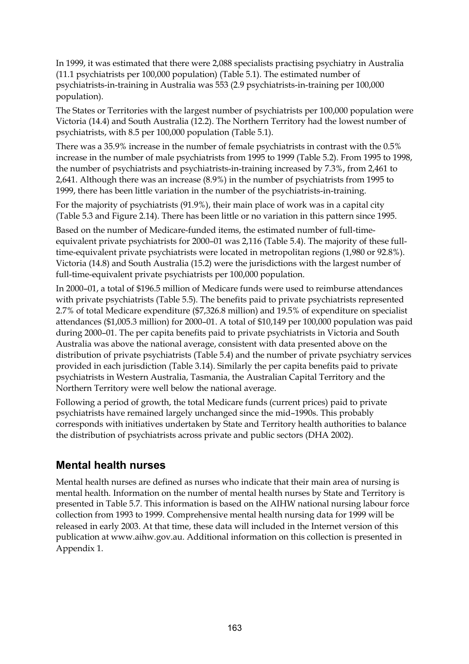In 1999, it was estimated that there were 2,088 specialists practising psychiatry in Australia (11.1 psychiatrists per 100,000 population) (Table 5.1). The estimated number of psychiatrists-in-training in Australia was 553 (2.9 psychiatrists-in-training per 100,000 population).

The States or Territories with the largest number of psychiatrists per 100,000 population were Victoria (14.4) and South Australia (12.2). The Northern Territory had the lowest number of psychiatrists, with 8.5 per 100,000 population (Table 5.1).

There was a 35.9% increase in the number of female psychiatrists in contrast with the 0.5% increase in the number of male psychiatrists from 1995 to 1999 (Table 5.2). From 1995 to 1998, the number of psychiatrists and psychiatrists-in-training increased by 7.3%, from 2,461 to 2,641. Although there was an increase (8.9%) in the number of psychiatrists from 1995 to 1999, there has been little variation in the number of the psychiatrists-in-training.

For the majority of psychiatrists (91.9%), their main place of work was in a capital city (Table 5.3 and Figure 2.14). There has been little or no variation in this pattern since 1995.

Based on the number of Medicare-funded items, the estimated number of full-timeequivalent private psychiatrists for 2000–01 was 2,116 (Table 5.4). The majority of these fulltime-equivalent private psychiatrists were located in metropolitan regions (1,980 or 92.8%). Victoria (14.8) and South Australia (15.2) were the jurisdictions with the largest number of full-time-equivalent private psychiatrists per 100,000 population.

In 2000–01, a total of \$196.5 million of Medicare funds were used to reimburse attendances with private psychiatrists (Table 5.5). The benefits paid to private psychiatrists represented 2.7% of total Medicare expenditure (\$7,326.8 million) and 19.5% of expenditure on specialist attendances (\$1,005.3 million) for 2000–01. A total of \$10,149 per 100,000 population was paid during 2000–01. The per capita benefits paid to private psychiatrists in Victoria and South Australia was above the national average, consistent with data presented above on the distribution of private psychiatrists (Table 5.4) and the number of private psychiatry services provided in each jurisdiction (Table 3.14). Similarly the per capita benefits paid to private psychiatrists in Western Australia, Tasmania, the Australian Capital Territory and the Northern Territory were well below the national average.

Following a period of growth, the total Medicare funds (current prices) paid to private psychiatrists have remained largely unchanged since the mid–1990s. This probably corresponds with initiatives undertaken by State and Territory health authorities to balance the distribution of psychiatrists across private and public sectors (DHA 2002).

#### **Mental health nurses**

Mental health nurses are defined as nurses who indicate that their main area of nursing is mental health. Information on the number of mental health nurses by State and Territory is presented in Table 5.7. This information is based on the AIHW national nursing labour force collection from 1993 to 1999. Comprehensive mental health nursing data for 1999 will be released in early 2003. At that time, these data will included in the Internet version of this publication at www.aihw.gov.au. Additional information on this collection is presented in Appendix 1.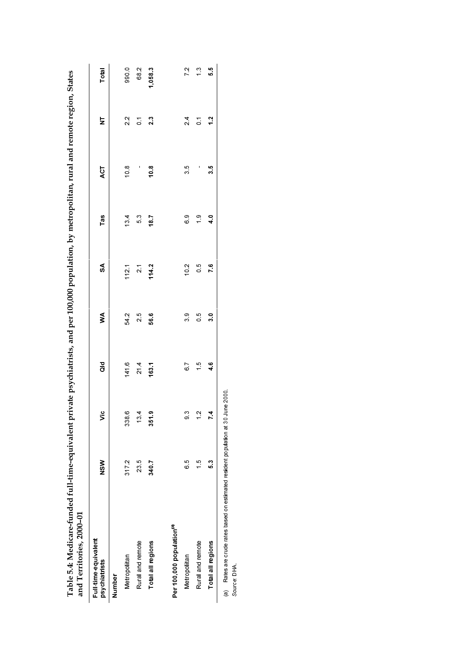| and Territories, 2000-01                                                                         |               |                    |                  |               |                           |               |      |                |               |
|--------------------------------------------------------------------------------------------------|---------------|--------------------|------------------|---------------|---------------------------|---------------|------|----------------|---------------|
| Full-time-equivalent<br>psychiatrists                                                            | $rac{8}{2}$   | ۵ľ                 | $\frac{d}{d}$    | ≸             | $\boldsymbol{\mathsf{s}}$ | Tas           | ACT  | Ξ              | Total         |
| Number                                                                                           |               |                    |                  |               |                           |               |      |                |               |
| Metropolitan                                                                                     | 3172          | $\circ$<br>33      | 1416             | $\frac{2}{3}$ | 112.1                     | 13.4          | 108  | $\frac{2}{2}$  | 990.0         |
| Rural and remote                                                                                 | 23.5          | 4<br>ఞ             | 214              | 25            | $\overline{2}$            | 53            |      | $\overline{0}$ | 682           |
| Total all regions                                                                                | 3407          | တ<br>351           | 163.1            | 566           | 114.2                     | 187           | 10.8 | 23             | 1,058.3       |
| Per 100,000 population <sup>(a)</sup>                                                            |               |                    |                  |               |                           |               |      |                |               |
|                                                                                                  |               |                    |                  |               |                           |               |      |                |               |
| Metropolitan                                                                                     | c<br>o        | $\tilde{c}$        | $\overline{6}$ / | ွာ            | 10.2                      | စီ            | 35   | $\frac{4}{3}$  | 72            |
| Rural and remote                                                                                 | $\frac{5}{1}$ | $\mathbf{\hat{c}}$ | $\frac{6}{1}$    | $\frac{5}{2}$ | G O                       | $\frac{6}{1}$ | I    | $\overline{0}$ | $\frac{3}{1}$ |
| Total all regions                                                                                | ွိ            | 4                  | $\frac{6}{4}$    | $\frac{1}{3}$ | $\frac{6}{5}$             | $\frac{0}{4}$ | 35   | 12             | 55            |
| (a) Rates are crude rates based on estimated resident population at 30 June 2000.<br>Source: DHA |               |                    |                  |               |                           |               |      |                |               |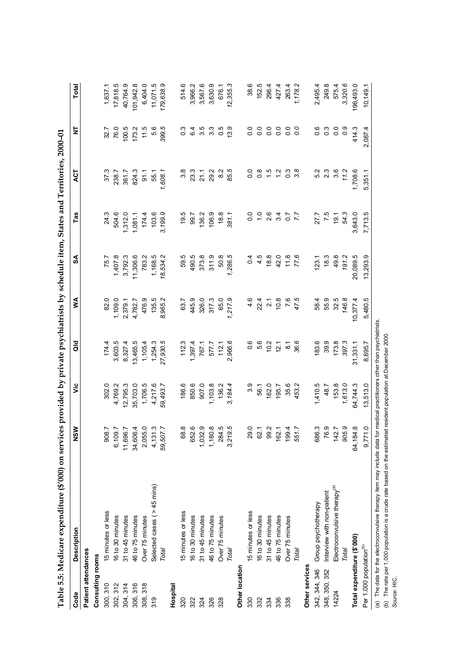|                                     | Table 5.5: Medicare expenditure (\$'000) on services provided by private psychiatrists by schedule item, States and Territories, 2000-01 |                                                                   |               |                         |               |                |                             |                |                                           |              |
|-------------------------------------|------------------------------------------------------------------------------------------------------------------------------------------|-------------------------------------------------------------------|---------------|-------------------------|---------------|----------------|-----------------------------|----------------|-------------------------------------------|--------------|
| Code                                | Description                                                                                                                              | NSW                                                               | ۶Ë            | ă                       | ⋚             | న              | Tas                         | ACT            | ξ                                         | <b>Total</b> |
| Patient attendances                 |                                                                                                                                          |                                                                   |               |                         |               |                |                             |                |                                           |              |
| Consulting rooms                    |                                                                                                                                          |                                                                   |               |                         |               |                |                             |                |                                           |              |
| 300, 310                            | 15 minutes or less                                                                                                                       | 908.7                                                             | 302.0         | 174.4                   | 82.0          | 75.7           | 24.3                        | 37.3           | 32.7                                      | 1,637.1      |
| 302, 312                            | 16 to 30 minutes                                                                                                                         |                                                                   | 4,769.2       | 3,603.5                 | 1,109.0       | 1,407.8        | 504.6                       | 238.7          | 76.0                                      | 17,818.5     |
| 304, 314                            | 31 to 45 minutes                                                                                                                         | 6,109.7<br>11,696.7<br>13,606.4<br>2,055.0<br>4,131.3<br>59,507.7 | 12,795.3      | 8,327.4                 | 2,379.1       | 3,792.3        | 1,312.0                     | 361.7          | 100.5                                     | 40,764.9     |
| 306, 316                            | 46 to 75 minutes                                                                                                                         |                                                                   | 35,703.0      | 13,465.5                | 4,782.7       | 11,306.6       | 1,081.1                     | 824.3          | 173.2                                     | 101,942.8    |
| 308, 318                            | Over 75 minutes                                                                                                                          |                                                                   | 1,706.5       | 1,105.4                 | 476.9         | 783.2          | 174.4                       | $-91.1$        | 11.5                                      | 6,404.0      |
| 319                                 | Selected cases ( $>45$ mins)                                                                                                             |                                                                   | 4,217.6       | 1,254.3                 | 135.5         | 1,168.5        | 103.6                       | 55.1           | 5.6                                       | 11,071.5     |
|                                     | Total                                                                                                                                    |                                                                   | 59,493.7      | 27,930.5                | 8,965.2       | 18,534.2       | 3,199.9                     | 1,608.1        | 399.5                                     | 179,638.9    |
| Hospital                            |                                                                                                                                          |                                                                   |               |                         |               |                |                             |                |                                           |              |
| 320                                 | 15 minutes or less                                                                                                                       | 68.8                                                              | 186.6         | 112.3                   | 63.7          | 59.5           | 19.5                        | 3.8            | $0.\overline{3}$                          | 514.6        |
| 322                                 | 16 to 30 minutes                                                                                                                         | 652.6                                                             | 850.6         | 1,397.4                 | 445.9         | 490.5          | 99.7                        | 23.3           | 6.4                                       | 3,966.2      |
| 324                                 | 31 to 45 minutes                                                                                                                         | $1,032.9$<br>$1,180.8$<br>$284.5$<br>$3,219.5$                    | 907.0         | 767.1                   | 326.0         | 373.8          | 136.2                       | 21.1           | 3.5                                       | 3,567.6      |
| 326                                 | 46 to 75 minutes                                                                                                                         |                                                                   | 1,103.8       | 577.7                   | 317.3         | 311.9          | 106.9                       | 29.2           | ာ ၁<br>၁<br>၁<br>၁                        | 3,630.9      |
| 328                                 | Over 75 minutes                                                                                                                          |                                                                   | 136.2         | 112.1                   | 65.0          | 50.8           | 18.8                        | $\frac{2}{8}$  |                                           | 676.1        |
|                                     | Total                                                                                                                                    |                                                                   | 3,184.4       | 2,966.6                 | 1,217.9       | 1,286.5        | 381.1                       | 85.5           | 13.9                                      | 12,355.3     |
| Other location                      |                                                                                                                                          |                                                                   |               |                         |               |                |                             |                |                                           |              |
| 330                                 | 15 minutes or less                                                                                                                       | 29.0                                                              | 3.9           | 0.6                     | 4.6           | 0.4            | $\frac{0}{0}$               | ိ              | $\overline{0}$                            | 38.6         |
| 332                                 | 16 to 30 minutes                                                                                                                         |                                                                   | 56.1          | 5.6                     | 22.4          | 4.5            |                             | $\frac{8}{2}$  |                                           | 152.5        |
| 334                                 | 31 to 45 minutes                                                                                                                         | 62.1<br>99.2<br>162.1                                             | 162.0         | 10.2                    | $\frac{1}{2}$ | 18.8           | $\frac{0}{1}$ $\frac{0}{2}$ | $\frac{15}{1}$ | $\begin{array}{c} 0.0 \\ 0.0 \end{array}$ | 296.4        |
| 336                                 | 46 to 75 minutes                                                                                                                         |                                                                   | 195.7         | 12.1                    | 10.8          | 42.0           | 34                          |                | $\overline{0}$                            | 427.4        |
| 338                                 | Over 75 minutes                                                                                                                          | $199.4$<br>551.7                                                  | 35.6          | $\overline{\circ}$      | 7.6           | $11.8$<br>77.6 | 7.7                         | $\frac{3}{2}$  | $\overline{0}$                            | 263.4        |
|                                     | Total                                                                                                                                    |                                                                   | 453.2         | 36.6                    | 47.5          |                |                             | ္ဘီ            | o.o                                       | 1,178.2      |
| Other services                      |                                                                                                                                          |                                                                   |               |                         |               |                |                             |                |                                           |              |
| 342, 344, 346                       | Group psychotherapy                                                                                                                      | 686.3                                                             | 1,410.5       | 183.6                   | 58.4          | 123.1          | 27.7                        |                | 0.6                                       | 2,495.4      |
| 348, 350, 352                       | Interview with non-patient                                                                                                               | 76.9                                                              | 48.7          | 39.9                    | 55.9          | 18.3           | 7.5                         | 23             | $0.\overline{3}$                          | 249.8        |
| 14224                               | Electroconvulsive therapy <sup>(a)</sup>                                                                                                 | 142.7<br>905.9                                                    | 153.8         | 173.8                   | 32.5          | 49.8           | 19.1                        | 3.6            | $\overline{0}$                            | 575.4        |
|                                     | Total                                                                                                                                    |                                                                   | 1,613.0       | 397.3                   | 146.8         | 191.2          | 54.3                        | 11.2           | $\mathcal{O}$                             | 3,320.6      |
| Total expenditure (\$'000)          |                                                                                                                                          | 64,184.8                                                          | 64,744.3      | 31,331.1                | 10,377.4      | 20,089.5       | 3,643.0                     | 1,708.6        | 414.3                                     | 196,493.0    |
| Per 1,000 population <sup>(b)</sup> |                                                                                                                                          | 9,771.0                                                           | 13,513.0      | 8,695.7                 | 5,480.5       | 13,293.9       | 7,713.5                     | 5,351.1        | 2,087.4                                   | 10,149.1     |
|                                     | (a) The data for the electrocopyulsive therapy item may include data for measure                                                         |                                                                   | nractitionare | other than nevohiatriet |               |                |                             |                |                                           |              |

ġ (a) The data for the electroconvulsive therapy item may include data for medical practitioners other than psychiatrists. (a) The data for the electroconvulsive therapy item may include data for medical practitioners other than psychiat<br>(b) The rate per 1,000 population is a crude rate based on the estimated resident population at December 20

(b) The rate per 1,000 population is a crude rate based on the estimated resident population at December 2000. *Source:* HIC.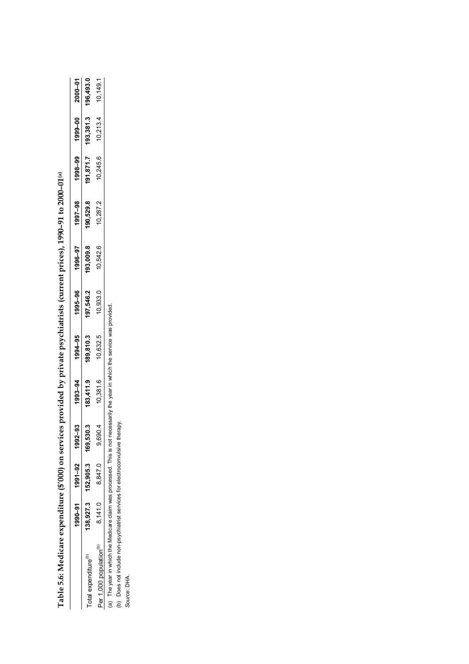|                                                                               | <b>2000-01</b>   |
|-------------------------------------------------------------------------------|------------------|
|                                                                               | $-0.000 - 0.000$ |
|                                                                               |                  |
|                                                                               | 1997-98          |
|                                                                               | 1996-97          |
|                                                                               | 1995-96          |
|                                                                               | 1994-95          |
| ces provided by private psychiatrists (current prices), 1990-91 to 2000-01(a) | 1993-94          |
|                                                                               | အို              |
|                                                                               | 1991-92          |
|                                                                               | $990 - 91$       |
| l'able 5.6: Medicare expenditure ('                                           |                  |
|                                                                               |                  |

|                                                                                                                            | 1990-01 1991 1992-098         | 993-94    | 1994-95   | 1995-96   | 1996-97   | 1997-98   | LO-000Z 00-666L 66-866L          |  |
|----------------------------------------------------------------------------------------------------------------------------|-------------------------------|-----------|-----------|-----------|-----------|-----------|----------------------------------|--|
| Total expenditure <sup>(b)</sup>                                                                                           | 138,927.3 152,905.3 169,530.3 | 183,411.9 | 189,810.3 | 197,546.2 | 193,009.8 | 190,529.8 | 191,871.7 193,381.3 196,493.0    |  |
| Per 1,000 population <sup>(b)</sup>                                                                                        | $8,141.0$ $8,847.0$ $9,690.4$ | 10,381.6  | 10,632.5  | 10,933.0  | 10,542.6  | 10.287.2  | $10,245.6$ $10,213.4$ $10,149.1$ |  |
| (a) The year in which the Medicare claim was processed. This is not necessarily the year in which the service was provided |                               |           |           |           |           |           |                                  |  |

 $rac{5}{2}$  $\sum_{i=1}^n$  $\geq$ (a) The year in which the Medicare claim was processed. This is not necessari<br>(b) Does not include non-psychiatrist services for electroconvulsive therapy.<br>Source: DHA.

(b) Does not include non-psychiatrist services for electroconvulsive therapy. *Source:* DHA.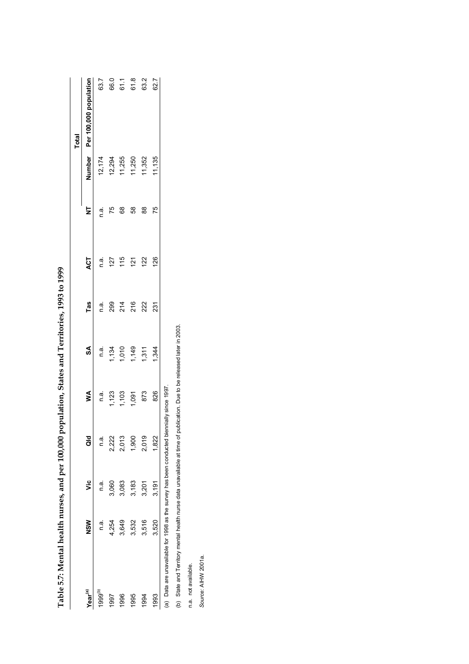|                                                                         |            |         |       |                                        |                                 |      |                    |               |                            | <b>Total</b>                  |
|-------------------------------------------------------------------------|------------|---------|-------|----------------------------------------|---------------------------------|------|--------------------|---------------|----------------------------|-------------------------------|
| Year <sup>(a)</sup>                                                     | <b>NSM</b> | ں<br>ح  | aid   | Š                                      | SA                              | Tas  | ACT                | ż             |                            | Number Per 100,000 population |
| 1999 <sup>(b)</sup>                                                     | n a        | ດ.<br>C | n.a.  | n.a.                                   |                                 | n.a. |                    | n.a.          |                            | 63.7                          |
| 1997                                                                    | 4,254      | 060     | 2,222 |                                        |                                 |      | n.a.<br>127<br>115 | 75            | 12,174<br>12,294<br>11,255 | 66.0<br>61.1                  |
| 1996                                                                    | 3,649      | 3,083   | 2,013 |                                        |                                 |      |                    | 89            |                            |                               |
| 1995                                                                    | 3,532      | 3,183   | 1,900 |                                        |                                 |      | $\frac{21}{2}$     | 58            | 11,250                     | 61.8                          |
| 1994                                                                    | 3,516      | 3,201   | 2,019 | $1,123$<br>$1,103$<br>$1,091$<br>$873$ | n.a.<br>1,134<br>1,149<br>1,311 | 222  | 122                | $\frac{8}{2}$ | 11,352                     | 63.2                          |
| 1993                                                                    | 3,520      | 3,191   | 1,822 | 826                                    | 1,344                           | 231  | 126                | 75            | 11,135                     | 62.7                          |
| (a) Data are unavailable for 1998 as the survey has been conducted bier |            |         |       | mially since 1997                      |                                 |      |                    |               |                            |                               |

Table 5.7: Mental health nurses, and per 100,000 population, States and Territories, 1993 to 1999 **Table 5.7: Mental health nurses, and per 100,000 population, States and Territories, 1993 to 1999**

(b) State and Territory mental health nurse data unavailable at time of publication. Due to be released later in 2003. (b) State and Territory mental health nurse data unavailable at time of publication. Due to be released later in 2003.

n.a. not available. n.a. not available.

Source: AIHW 2001a. *Source:* AIHW 2001a.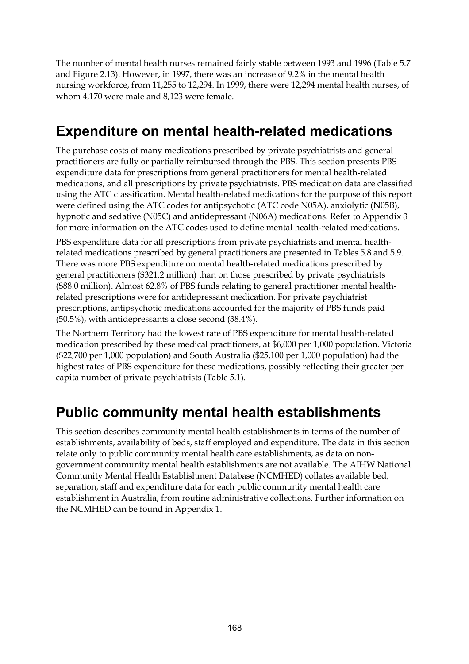The number of mental health nurses remained fairly stable between 1993 and 1996 (Table 5.7 and Figure 2.13). However, in 1997, there was an increase of 9.2% in the mental health nursing workforce, from 11,255 to 12,294. In 1999, there were 12,294 mental health nurses, of whom 4,170 were male and 8,123 were female.

### **Expenditure on mental health-related medications**

The purchase costs of many medications prescribed by private psychiatrists and general practitioners are fully or partially reimbursed through the PBS. This section presents PBS expenditure data for prescriptions from general practitioners for mental health-related medications, and all prescriptions by private psychiatrists. PBS medication data are classified using the ATC classification. Mental health-related medications for the purpose of this report were defined using the ATC codes for antipsychotic (ATC code N05A), anxiolytic (N05B), hypnotic and sedative (N05C) and antidepressant (N06A) medications. Refer to Appendix 3 for more information on the ATC codes used to define mental health-related medications.

PBS expenditure data for all prescriptions from private psychiatrists and mental healthrelated medications prescribed by general practitioners are presented in Tables 5.8 and 5.9. There was more PBS expenditure on mental health-related medications prescribed by general practitioners (\$321.2 million) than on those prescribed by private psychiatrists (\$88.0 million). Almost 62.8% of PBS funds relating to general practitioner mental healthrelated prescriptions were for antidepressant medication. For private psychiatrist prescriptions, antipsychotic medications accounted for the majority of PBS funds paid (50.5%), with antidepressants a close second (38.4%).

The Northern Territory had the lowest rate of PBS expenditure for mental health-related medication prescribed by these medical practitioners, at \$6,000 per 1,000 population. Victoria (\$22,700 per 1,000 population) and South Australia (\$25,100 per 1,000 population) had the highest rates of PBS expenditure for these medications, possibly reflecting their greater per capita number of private psychiatrists (Table 5.1).

## **Public community mental health establishments**

This section describes community mental health establishments in terms of the number of establishments, availability of beds, staff employed and expenditure. The data in this section relate only to public community mental health care establishments, as data on nongovernment community mental health establishments are not available. The AIHW National Community Mental Health Establishment Database (NCMHED) collates available bed, separation, staff and expenditure data for each public community mental health care establishment in Australia, from routine administrative collections. Further information on the NCMHED can be found in Appendix 1.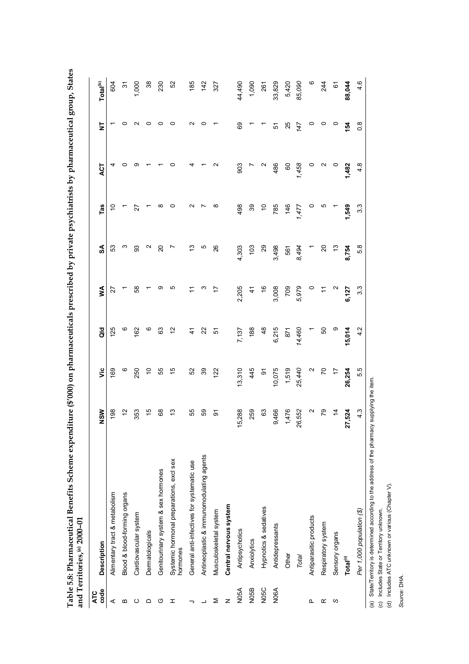|                    | and Territories, <sup>(a)</sup> 2000-01              |                   |                          |                |                  |                   |                  |                   |                         |                      |
|--------------------|------------------------------------------------------|-------------------|--------------------------|----------------|------------------|-------------------|------------------|-------------------|-------------------------|----------------------|
| code<br><b>ATC</b> | <b>Description</b>                                   | NSW               | yic                      | $\frac{6}{9}$  | ≸                | SA                | Tas              | ACT               | $\overline{\mathsf{z}}$ | Total <sup>(b)</sup> |
| ⋖                  | Alimentary tract & metabolism                        | 198               | 169                      | 125            | 27               | 53                |                  |                   |                         | 604                  |
| m                  | Blood & blood-forming organs                         | $\tilde{c}$       | $\circ$                  | $\circ$        |                  | ო                 |                  | 0                 |                         | $\tilde{\bm{c}}$     |
| ပ                  | Cardiovascular system                                | 353               | 250                      | 162            | 89               | SS                | 27               | თ                 | N                       | 1,000                |
| ≏                  | Dermatologicals                                      | $\frac{1}{2}$     | $\tilde{c}$              | $\circ$        |                  | $\mathbf{\Omega}$ |                  |                   | c                       | $\frac{8}{3}$        |
| ပ                  | Genitourinary system & sex hormones                  | $^{\rm 68}$       | 55                       | 3              | တ                | $\Omega$          |                  |                   |                         | 230                  |
| ェ                  | Systemic hormonal preparations, excl sex<br>hormones | $\frac{1}{2}$     | 15                       | 51             | Ю                |                   |                  | 0                 | 0                       | 52                   |
|                    | General anti-infectives for systematic use           | 55                | 52                       | $\ddot{4}$     | $\div$           | చ                 | N                |                   | N                       | 185                  |
|                    | Antineoplastic & immunomodulating agents             | 65                | 39                       | 22             | $\infty$         | Ю                 |                  |                   | $\circ$                 | 142                  |
| Σ                  | Musculoskeletal system                               | $\overline{5}$    | 122                      | 5              | 17               | 26                |                  | $\mathbf{\Omega}$ |                         | 327                  |
| z                  | Central nervous system                               |                   |                          |                |                  |                   |                  |                   |                         |                      |
| N <sub>05</sub> A  | Antipsychotics                                       | 5,288             | 13,310                   | 7,137          | 2,205            | 4,303             | 498              | 903               | 89                      | 44,490               |
| N05B               | Anxiolytics                                          | 259               | 445                      | $\frac{88}{2}$ | $\ddot{t}$       | 103               | 39               | $\overline{a}$    |                         | 1,090                |
| N <sub>05</sub> C  | Hypnotics & sedatives                                | $\mathbb{S}^3$    | $\overline{5}$           | 48             | $\frac{6}{5}$    | 29                | S                | $\mathbf{\Omega}$ |                         | 261                  |
| NO6A               | Antidepressants                                      | 9,466             | 10,075                   | 6,215          | 3,008            | 3,498             | 785              | 486               | 5                       | 33,829               |
|                    | Other                                                | 1,476             | 1,519                    | 871            | POZ              | 561               | $146$<br>$1,477$ | $\overline{60}$   | 25                      | 5,420                |
|                    | Total                                                | 26,552            | 25,440                   | 14,460         | 5,979            | 8,494             |                  | 1,458             | 147                     | 85,090               |
| ௳                  | Antiparasitic products                               | $\mathbf{\Omega}$ | $\sim$                   |                | $\circ$          |                   |                  | $\circ$           | $\circ$                 |                      |
| œ                  | Respiratory system                                   | $\overline{r}$    | $\mathcal{L}$            | 50             | Ξ                | $\overline{c}$    |                  | N                 | o                       | 244                  |
| ပ                  | Sensory organs                                       | $\frac{1}{4}$     | $\overline{\phantom{a}}$ | $\circ$        | $\sim$           | $\frac{1}{2}$     |                  | $\circ$           | $\circ$                 | $\tilde{\circ}$      |
|                    | Total <sup>(c)</sup>                                 | 27,524            | 26,254                   | 15,014         | 6,127            | 8,754             | 1,549            | 1,482             | 154                     | 88,044               |
|                    | Per 1,000 population (\$)                            | 4.3               | 5.5                      | 4.2            | $3.\overline{3}$ | 5.8               | 3.3              | 4.8               | $0.\overline{8}$        | 4.6                  |

Table 5.8: Pharmaceutical Benefits Scheme expenditure (\$'000) on pharmaceuticals prescribed by private psychiatrists by pharmaceutical group, States **Table 5.8: Pharmaceutical Benefits Scheme expenditure (\$'000) on pharmaceuticals prescribed by private psychiatrists by pharmaceutical group, States**

(a) State/Territory is determined according to the address of the pharmacy supplying the item.<br>(c) Includes State or Territory unknown.<br>(d) Includes ATC unknown or various (Chapter V). (a) State/Territory is determined according to the address of the pharmacy supplying the item. (c) Includes State or Territory unknown.

(d) Includes ATC unknown or various (Chapter V).

Source: DHA. *Source:* DHA.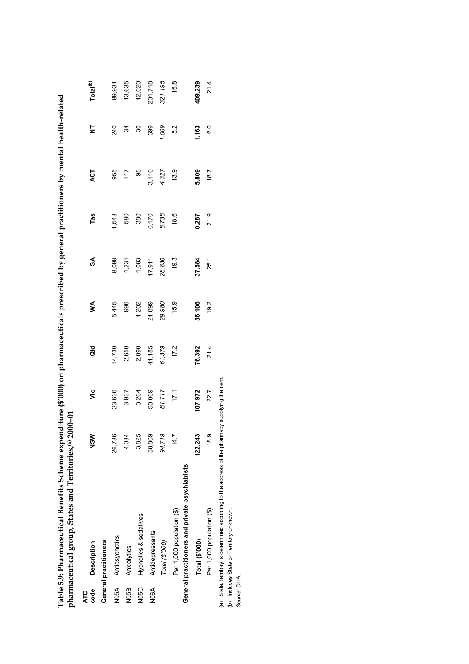| code<br><b>ATC</b> | <b>Description</b>                                                                             | <b>NSM</b> | ۶Ë      | ă      | ≸      | S      | Tas   | ACT   | ż     | Total <sup>(b)</sup> |
|--------------------|------------------------------------------------------------------------------------------------|------------|---------|--------|--------|--------|-------|-------|-------|----------------------|
|                    | General practitioners                                                                          |            |         |        |        |        |       |       |       |                      |
|                    | N05A Antipsychotics                                                                            | 26,786     | 23,636  | 14,730 | 5,445  | 8,098  | 1,543 | 955   | 240   | 89,931               |
| N05B               | Anxiolytics                                                                                    | 4,034      | 3,937   | 2,650  | 996    | 1,231  | 580   | 117   | 34    | 13,635               |
| N05C               | Hypnotics & sedatives                                                                          | 3,825      | 3,264   | 2,090  | 1,202  | 1,083  | 380   | 8     | 30    | 12,020               |
| N06A               | Antidepressants                                                                                | 58,869     | 50,069  | 41,185 | 21,899 | 17,911 | 6,170 | 3,110 | 699   | 201,718              |
|                    | Total (\$'000)                                                                                 | 94,719     | 81,717  | 61,379 | 29,980 | 28,830 | 8,738 | 4,327 | 1,009 | 321,195              |
|                    | General practitioners and private psychiatrists<br>Per 1,000 population (\$)                   | 14.7       | 171     | 17.2   | 15.9   | 19.3   | 18.6  | 13.9  | 5.2   | 16.8                 |
|                    |                                                                                                |            |         |        |        |        |       |       |       |                      |
|                    | Total (\$'000)                                                                                 | 122,243    | 107,972 | 76,392 | 36,106 | 37,584 | 0,287 | 5,809 | 1,163 | 409,239              |
|                    | Per 1,000 population (\$)                                                                      | 18.9       | 22.7    | 21.4   | 19.2   | 25.1   | 21.9  | 18.7  | C.G   | 21.4                 |
|                    | (a) State/Territory is determined according to the address of the pharmacy supplying the item. |            |         |        |        |        |       |       |       |                      |
|                    | (b) Includes State or Territory unknown.                                                       |            |         |        |        |        |       |       |       |                      |
| Source: DHA.       |                                                                                                |            |         |        |        |        |       |       |       |                      |
|                    |                                                                                                |            |         |        |        |        |       |       |       |                      |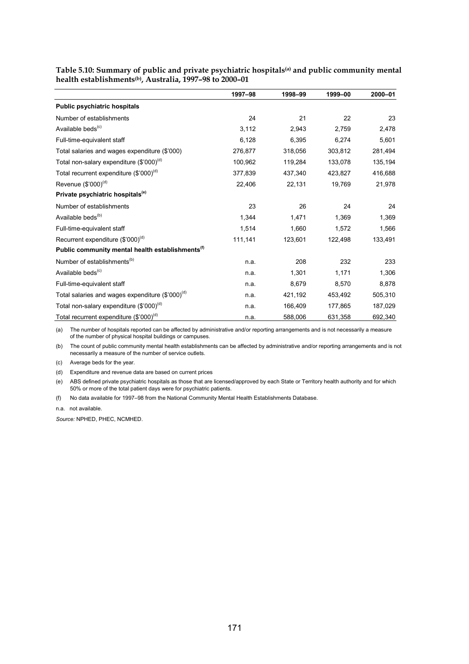|                                                              | 1997-98 | 1998-99 | 1999-00 | 2000-01 |
|--------------------------------------------------------------|---------|---------|---------|---------|
| <b>Public psychiatric hospitals</b>                          |         |         |         |         |
| Number of establishments                                     | 24      | 21      | 22      | 23      |
| Available beds <sup>(c)</sup>                                | 3,112   | 2,943   | 2,759   | 2,478   |
| Full-time-equivalent staff                                   | 6,128   | 6,395   | 6,274   | 5,601   |
| Total salaries and wages expenditure (\$'000)                | 276,877 | 318,056 | 303,812 | 281,494 |
| Total non-salary expenditure (\$'000) <sup>(d)</sup>         | 100,962 | 119,284 | 133,078 | 135,194 |
| Total recurrent expenditure (\$'000) <sup>(d)</sup>          | 377,839 | 437,340 | 423,827 | 416,688 |
| Revenue $(\$'000)^{(d)}$                                     | 22,406  | 22,131  | 19,769  | 21,978  |
| Private psychiatric hospitals <sup>(e)</sup>                 |         |         |         |         |
| Number of establishments                                     | 23      | 26      | 24      | 24      |
| Available beds <sup>(b)</sup>                                | 1,344   | 1,471   | 1,369   | 1,369   |
| Full-time-equivalent staff                                   | 1,514   | 1,660   | 1,572   | 1,566   |
| Recurrent expenditure $(\$'000)^{(d)}$                       | 111,141 | 123,601 | 122,498 | 133,491 |
| Public community mental health establishments <sup>(f)</sup> |         |         |         |         |
| Number of establishments <sup>(b)</sup>                      | n.a.    | 208     | 232     | 233     |
| Available beds <sup>(c)</sup>                                | n.a.    | 1,301   | 1,171   | 1,306   |
| Full-time-equivalent staff                                   | n.a.    | 8,679   | 8,570   | 8,878   |
| Total salaries and wages expenditure (\$'000) <sup>(d)</sup> | n.a.    | 421,192 | 453,492 | 505,310 |
| Total non-salary expenditure (\$'000) <sup>(d)</sup>         | n.a.    | 166,409 | 177,865 | 187,029 |
| Total recurrent expenditure (\$'000) <sup>(d)</sup>          | n.a.    | 588,006 | 631,358 | 692,340 |

**Table 5.10: Summary of public and private psychiatric hospitals(a) and public community mental health establishments(b), Australia, 1997–98 to 2000–01**

(a) The number of hospitals reported can be affected by administrative and/or reporting arrangements and is not necessarily a measure of the number of physical hospital buildings or campuses.

(b) The count of public community mental health establishments can be affected by administrative and/or reporting arrangements and is not necessarily a measure of the number of service outlets.

(c) Average beds for the year.

(d) Expenditure and revenue data are based on current prices

(e) ABS defined private psychiatric hospitals as those that are licensed/approved by each State or Territory health authority and for which 50% or more of the total patient days were for psychiatric patients.

(f) No data available for 1997–98 from the National Community Mental Health Establishments Database.

n.a. not available.

*Source:* NPHED, PHEC, NCMHED.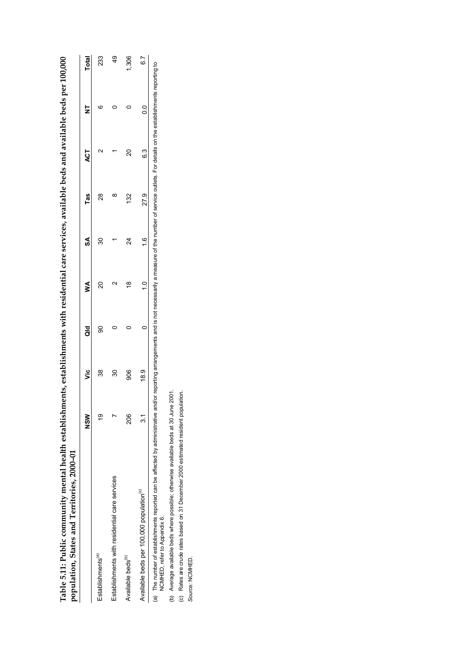| co<br>Co                                                                                       |                                             |  |
|------------------------------------------------------------------------------------------------|---------------------------------------------|--|
|                                                                                                |                                             |  |
|                                                                                                |                                             |  |
|                                                                                                |                                             |  |
|                                                                                                |                                             |  |
|                                                                                                |                                             |  |
|                                                                                                |                                             |  |
|                                                                                                |                                             |  |
|                                                                                                |                                             |  |
|                                                                                                |                                             |  |
|                                                                                                |                                             |  |
|                                                                                                |                                             |  |
|                                                                                                |                                             |  |
|                                                                                                |                                             |  |
|                                                                                                |                                             |  |
| ments, establishments with residential care services, available beds and available beds per 10 |                                             |  |
|                                                                                                |                                             |  |
|                                                                                                |                                             |  |
|                                                                                                |                                             |  |
|                                                                                                |                                             |  |
|                                                                                                |                                             |  |
|                                                                                                |                                             |  |
|                                                                                                |                                             |  |
|                                                                                                |                                             |  |
|                                                                                                |                                             |  |
|                                                                                                |                                             |  |
|                                                                                                |                                             |  |
|                                                                                                |                                             |  |
|                                                                                                |                                             |  |
|                                                                                                |                                             |  |
|                                                                                                |                                             |  |
|                                                                                                |                                             |  |
|                                                                                                |                                             |  |
| Table 5.11: Public community mental health establish                                           | population, States and Territories, 2000-01 |  |
|                                                                                                |                                             |  |
|                                                                                                |                                             |  |
|                                                                                                |                                             |  |
|                                                                                                |                                             |  |
|                                                                                                |                                             |  |
|                                                                                                |                                             |  |
|                                                                                                |                                             |  |
|                                                                                                |                                             |  |
|                                                                                                |                                             |  |

|                                                                                   | $rac{8}{2}$ | ئا   | ă | ≸                 | S       | las           | Ę                                                                                                                                          | Z  | <b>Total</b> |
|-----------------------------------------------------------------------------------|-------------|------|---|-------------------|---------|---------------|--------------------------------------------------------------------------------------------------------------------------------------------|----|--------------|
| Establishments <sup>(a)</sup>                                                     | თ           | 38   | ၶ | 8                 | నె      | $\frac{8}{2}$ | √<br>C                                                                                                                                     | cc | 233          |
| Establishments with residential care services                                     |             | 80   |   | $\mathsf{\alpha}$ |         | ∞             |                                                                                                                                            |    | ą9           |
| Available beds <sup>(b)</sup>                                                     | 206         | 80   |   | ≌                 | 24      | 32            | ន                                                                                                                                          |    | 306          |
| Available beds per 100,000 population <sup>(c)</sup>                              | 2           | 18.9 |   |                   | $\circ$ | 27.9          | ်<br>ဝ                                                                                                                                     |    | 6.7          |
| (a) The number of establishments reported can be affected by administrative and/o |             |      |   |                   |         |               | r reporting arrangements and is not pecessarily a measure of the number of service outlets. For details on the establishments reporting to |    |              |

on filmind; (a) The number of establishments reported can be affected can be affected by administrative and/or reporting arrangements and is not necessarily a measure of the number of service outlets. For details on the establishments (a) I he number of establishments re<br>NCMHED, refer to Appendix 6. NCMHED, refer to Appendix 6.

(b) Average available beds where possible; otherwise available beds at 30 June 2001.<br>(c) Rates are crude rates based on 31 December 2000 estimated resident population.<br>Source: NCMHED. (b) Average available beds where possible; otherwise available beds at 30 June 2001.

(c) Rates are crude rates based on 31 December 2000 estimated resident population.

*Source:* NCMHED.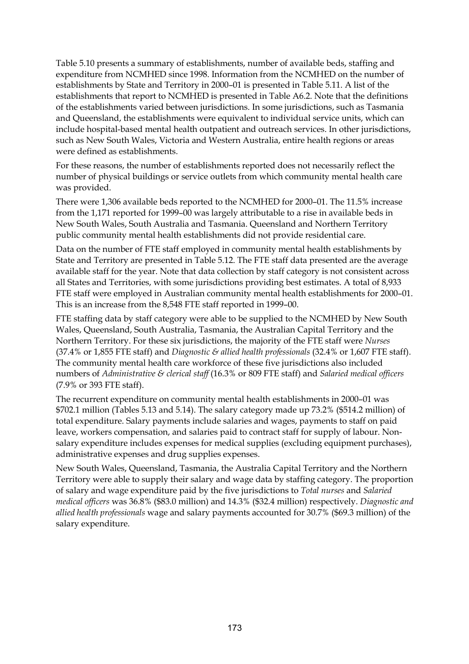Table 5.10 presents a summary of establishments, number of available beds, staffing and expenditure from NCMHED since 1998. Information from the NCMHED on the number of establishments by State and Territory in 2000–01 is presented in Table 5.11. A list of the establishments that report to NCMHED is presented in Table A6.2. Note that the definitions of the establishments varied between jurisdictions. In some jurisdictions, such as Tasmania and Queensland, the establishments were equivalent to individual service units, which can include hospital-based mental health outpatient and outreach services. In other jurisdictions, such as New South Wales, Victoria and Western Australia, entire health regions or areas were defined as establishments.

For these reasons, the number of establishments reported does not necessarily reflect the number of physical buildings or service outlets from which community mental health care was provided.

There were 1,306 available beds reported to the NCMHED for 2000–01. The 11.5% increase from the 1,171 reported for 1999–00 was largely attributable to a rise in available beds in New South Wales, South Australia and Tasmania. Queensland and Northern Territory public community mental health establishments did not provide residential care.

Data on the number of FTE staff employed in community mental health establishments by State and Territory are presented in Table 5.12. The FTE staff data presented are the average available staff for the year. Note that data collection by staff category is not consistent across all States and Territories, with some jurisdictions providing best estimates. A total of 8,933 FTE staff were employed in Australian community mental health establishments for 2000–01. This is an increase from the 8,548 FTE staff reported in 1999–00.

FTE staffing data by staff category were able to be supplied to the NCMHED by New South Wales, Queensland, South Australia, Tasmania, the Australian Capital Territory and the Northern Territory. For these six jurisdictions, the majority of the FTE staff were *Nurses* (37.4% or 1,855 FTE staff) and *Diagnostic & allied health professionals* (32.4% or 1,607 FTE staff). The community mental health care workforce of these five jurisdictions also included numbers of *Administrative & clerical staff* (16.3% or 809 FTE staff) and *Salaried medical officers* (7.9% or 393 FTE staff).

The recurrent expenditure on community mental health establishments in 2000–01 was \$702.1 million (Tables 5.13 and 5.14). The salary category made up 73.2% (\$514.2 million) of total expenditure. Salary payments include salaries and wages, payments to staff on paid leave, workers compensation, and salaries paid to contract staff for supply of labour. Nonsalary expenditure includes expenses for medical supplies (excluding equipment purchases), administrative expenses and drug supplies expenses.

New South Wales, Queensland, Tasmania, the Australia Capital Territory and the Northern Territory were able to supply their salary and wage data by staffing category. The proportion of salary and wage expenditure paid by the five jurisdictions to *Total nurses* and *Salaried medical officers* was 36.8% (\$83.0 million) and 14.3% (\$32.4 million) respectively. *Diagnostic and allied health professionals* wage and salary payments accounted for 30.7% (\$69.3 million) of the salary expenditure.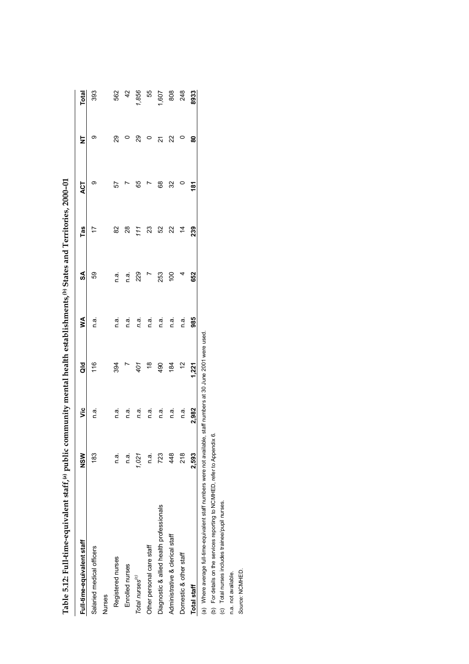| abie 5.12: Full-cume-equivalent starf, " public sto                                               |            |         | r mental nealth establishments, ") states and 1 erritories, 2000-01 |      |                |     |     |     |               |
|---------------------------------------------------------------------------------------------------|------------|---------|---------------------------------------------------------------------|------|----------------|-----|-----|-----|---------------|
| Full-time-equivalent staff                                                                        | <b>NSM</b> | قا      | ă                                                                   | ⋚    | S              | Tas | ACT | ż   | <b>Total</b>  |
| Salaried medical officers                                                                         | 183        | a.<br>C | 116                                                                 | n.ã  | 8              |     | ග   | တ   | 393           |
| <b>Nurses</b>                                                                                     |            |         |                                                                     |      |                |     |     |     |               |
| Registered nurses                                                                                 | n.a        | n.a.    | 394                                                                 | n.a. | n a            | 82  | 57  | 29  | 562           |
| Enrolled nurses                                                                                   | n a        | n.a.    |                                                                     | n.a. | n.a.           | 28  |     |     | $\frac{4}{2}$ |
| Total nurses <sup>(c)</sup>                                                                       | 1,021      | n.a.    | 401                                                                 | n.a. | 229            | 111 | 65  | 8   | 1,856         |
| Other personal care staff                                                                         | n a        | n.ai    | $\frac{8}{1}$                                                       | n.a. |                | 23  |     |     | 55            |
| Diagnostic & allied health professionals                                                          | 723        | n.a.    | 490                                                                 | n.ai | 253            | 52  | 89  | 21  | 1,607         |
| Administrative & clerical staff                                                                   | 48         | n.a.    | 184                                                                 | n.a. | $\overline{5}$ | 22  | 32  | 22  | 808           |
| Domestic & other staff                                                                            | 218        | n.a.    | $\tilde{c}$                                                         | n.a. | 4              |     |     | 0   | 248           |
| <b>Total staff</b>                                                                                | 2.593      | 2,982   | 1,221                                                               | 985  | 652            | 239 | 181 | ន្ល | 8933          |
| الحاصلات مستحد والمستحدث والمستحد والمستحد والمستحد والمستحد والمستحد والمستحد والمستحد والمستحدث |            |         |                                                                     |      |                |     |     |     |               |

and Territories  $200-01$ **Table 5.12: Full-time-equivalent staff,(a) public community mental health establishments,(b) States and Territories, 2000–01** antal haalth actablichmante (b) States  $\ddotsc$ Table 5.12: Full-time-equivalent staff (a) public co

(a) Where average full-time-equivalent staff numbers were not available, staff numbers at 30 June 2001 were used.<br>(b) For details on the services reporting to NCMHED, refer to Appendix 6.<br>(c) Total nurses includes trainee/ (a) Where average full-time-equivalent staff numbers were not available, staff numbers at 30 June 2001 were used.

(b) For details on the services reporting to NCMHED, refer to Appendix 6.

(c) Total nurses includes trainee/pupil nurses.

n.a. not available.

Source: NCMHED. *Source:* NCMHED.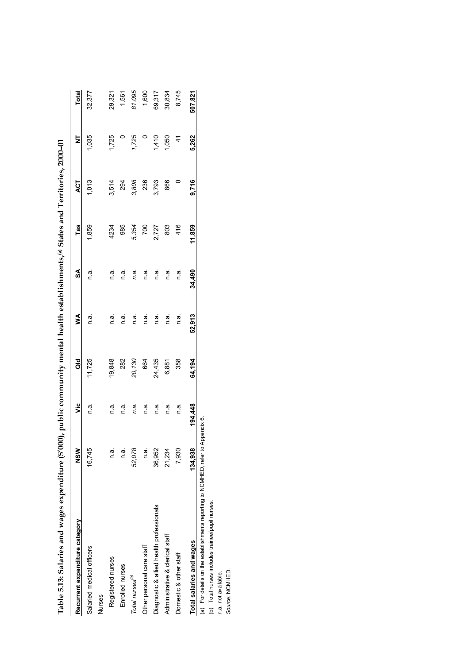| Table 5.13: Salaries and wages expenditure (\$'000), public community mental health establishments, <sup>(a)</sup> States and Territories, 2000-01 |             |         |        |        |         |        |       |               |              |
|----------------------------------------------------------------------------------------------------------------------------------------------------|-------------|---------|--------|--------|---------|--------|-------|---------------|--------------|
| Recurrent expenditure category                                                                                                                     | $rac{8}{2}$ | ۊ       | aio    | ≸      | SA      | Tas    | ACT   | ₹             | <b>Total</b> |
| Salaried medical officers                                                                                                                          | 16,745      | n a     | 11,725 | n a    | n.a.    | 1,859  | 1,013 | 1,035         | 32,377       |
| <b>Nurses</b>                                                                                                                                      |             |         |        |        |         |        |       |               |              |
| Registered nurses                                                                                                                                  | n.a.        | n.a.    | 19,848 | n a    | n.a.    | 4234   | 3,514 | 1,725         | 29,321       |
| Enrolled nurses                                                                                                                                    | n.a.        | n.a.    | 282    | n.a.   | a.<br>⊂ | 985    | 294   |               | 1,561        |
| Total nurses <sup>(b)</sup>                                                                                                                        | 52,078      | n.a.    | 20,130 | n.a.   | n.a.    | 5,354  | 3,808 | 1,725         | 81,095       |
| Other personal care staff                                                                                                                          | n a.        | e u     | 664    | e u    | e u     | 700    | 236   |               | 1,600        |
| Diagnostic & allied health professionals                                                                                                           | 36,952      | n.a.    | 24,435 | n.a.   | n.a.    | 2,727  | 3,793 | 1,410         | 69,317       |
| Administrative & clerical staff                                                                                                                    | 21,234      | ie u    | 6,881  | e u    | e u     | 803    | 866   | 1,050         | 30,834       |
| Domestic & other staff                                                                                                                             | 7,930       | e u     | 358    | e u    | e<br>⊂  | 416    |       | $\frac{4}{3}$ | 8,745        |
| Total salaries and wages                                                                                                                           | 134,938     | 194,448 | 64,194 | 52,913 | 34,490  | 11,859 | 9.716 | 5,262         | 507,821      |
| (a) For details on the establishments reporting to NCMHED, refer to Appendix 6.                                                                    |             |         |        |        |         |        |       |               |              |
| (b) Total nurses includes trainee/pupil nurses.                                                                                                    |             |         |        |        |         |        |       |               |              |
| n.a. not available.                                                                                                                                |             |         |        |        |         |        |       |               |              |
| Source: NCMHED                                                                                                                                     |             |         |        |        |         |        |       |               |              |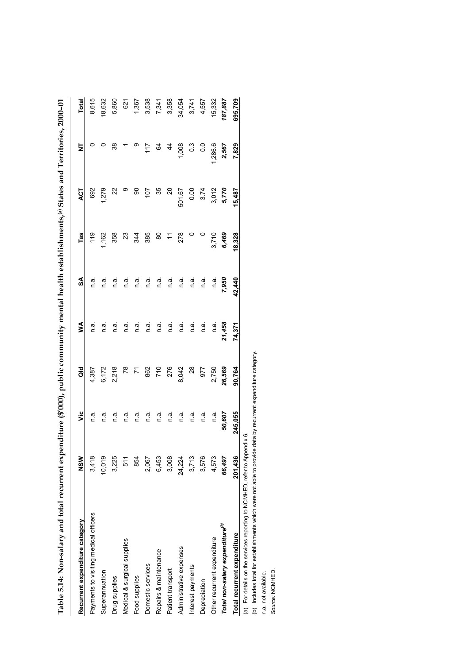|                                                                           |         |         | $\ddot{\phantom{0}}$ |        |        |               |                       |                         |         |
|---------------------------------------------------------------------------|---------|---------|----------------------|--------|--------|---------------|-----------------------|-------------------------|---------|
| Recurrent expenditure category                                            | NSM     | ۶Ë      | $\frac{d}{d}$        | ⋚      | S      | Tas           | ACT                   | $\overline{\mathsf{z}}$ | Total   |
| Payments to visiting medical officers                                     | 3,418   | e.⊓     | 4,387                | n.a    | e.⊓    | $\frac{9}{1}$ | 692                   |                         | 8,615   |
| Superannuation                                                            | 10,019  | n.a.    | 6,172                | n a    | e.n    | 1,162         | 1,279                 |                         | 18,632  |
| Drug supplies                                                             | 3,225   | n.a.    | 2,218                | n.a.   | n.a    | 358           | $\approx$             | 88                      | 5,860   |
| Medical & surgical supplies                                               | 511     | n.a.    | 78                   | n.a    | n.ai   | 23            | $\circ$               |                         | 621     |
| Food supplies                                                             | 854     | e ∪     |                      | n.ai   | n.ã    | 344           | န္တ                   |                         | 1,367   |
| Domestic services                                                         | 2,067   | n.a     |                      | n.a.   | n.a.   | 385           | 107                   | 117                     | 3,538   |
| Repairs & maintenance                                                     | 6,453   | n.a     | 862<br>710           | n a    | n a    | 8             | 35                    | $\mathcal{Q}$           | 7,341   |
| Patient transport                                                         | 3,008   | n.ai    | 276                  | n.ai   | n a    | $\tilde{t}$   | $\overline{a}$        | $\frac{4}{3}$           | 3,358   |
| Administrative expenses                                                   | 24,224  | e.⊓     | 8,042                | e.⊓    | n.a.   | 278           | 501.67                | 1,008                   | 34,054  |
| Interest payments                                                         | 3,713   | e ∪     | $\frac{8}{3}$        | e ∪    | n.ai   |               | 0.00                  | $0.\overline{3}$        | 3,741   |
| Depreciation                                                              | 3,576   | e.⊓     | 577                  | n.ai   | n a    |               | 3.74                  | $\frac{0}{2}$           | 4,557   |
| Other recurrent expenditure                                               | 4,573   | n.a     | 2,750                | n.a.   | n.a    | 3,710         |                       | 1,286.6                 | 15,332  |
| Total non-salary expenditure <sup>(b)</sup>                               | 66,497  | 50,607  | 26,569               | 21,458 | 7,950  | 6,469         | 3,012<br><b>5,770</b> | 2,567                   | 187,887 |
| Total recurrent expenditure                                               | 201,436 | 245,055 | 90,764               | 74,371 | 42,440 | 18,328        | 15,487                | 7,829                   | 695,709 |
| (a) For details on the services reporting to NCMHED, refer to Appendix 6. |         |         |                      |        |        |               |                       |                         |         |

Table 5.14: Non-salary and total recurrent expenditure (\$'000), public community mental health establishments,(a) States and Territories, 2000-01 **Table 5.14: Non-salary and total recurrent expenditure (\$'000), public community mental health establishments,(a) States and Territories, 2000–01**

(b) Includes total for establishments which were not able to provide data by recurrent expenditure category.<br>n.a. not available.<br>Source: NCMHED. (b) Includes total for establishments which were not able to provide data by recurrent expenditure category.

n.a. not available.

*Source:* NCMHED.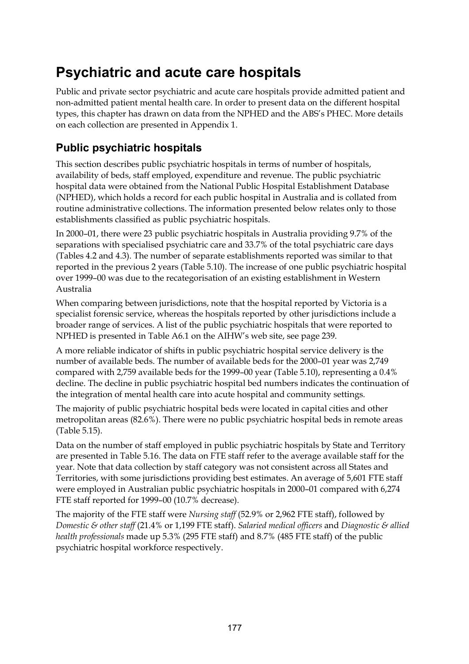# **Psychiatric and acute care hospitals**

Public and private sector psychiatric and acute care hospitals provide admitted patient and non-admitted patient mental health care. In order to present data on the different hospital types, this chapter has drawn on data from the NPHED and the ABS's PHEC. More details on each collection are presented in Appendix 1.

### **Public psychiatric hospitals**

This section describes public psychiatric hospitals in terms of number of hospitals, availability of beds, staff employed, expenditure and revenue. The public psychiatric hospital data were obtained from the National Public Hospital Establishment Database (NPHED), which holds a record for each public hospital in Australia and is collated from routine administrative collections. The information presented below relates only to those establishments classified as public psychiatric hospitals.

In 2000–01, there were 23 public psychiatric hospitals in Australia providing 9.7% of the separations with specialised psychiatric care and 33.7% of the total psychiatric care days (Tables 4.2 and 4.3). The number of separate establishments reported was similar to that reported in the previous 2 years (Table 5.10). The increase of one public psychiatric hospital over 1999–00 was due to the recategorisation of an existing establishment in Western Australia

When comparing between jurisdictions, note that the hospital reported by Victoria is a specialist forensic service, whereas the hospitals reported by other jurisdictions include a broader range of services. A list of the public psychiatric hospitals that were reported to NPHED is presented in Table A6.1 on the AIHW's web site, see page 239.

A more reliable indicator of shifts in public psychiatric hospital service delivery is the number of available beds. The number of available beds for the 2000–01 year was 2,749 compared with 2,759 available beds for the 1999–00 year (Table 5.10), representing a 0.4% decline. The decline in public psychiatric hospital bed numbers indicates the continuation of the integration of mental health care into acute hospital and community settings.

The majority of public psychiatric hospital beds were located in capital cities and other metropolitan areas (82.6%). There were no public psychiatric hospital beds in remote areas (Table 5.15).

Data on the number of staff employed in public psychiatric hospitals by State and Territory are presented in Table 5.16. The data on FTE staff refer to the average available staff for the year. Note that data collection by staff category was not consistent across all States and Territories, with some jurisdictions providing best estimates. An average of 5,601 FTE staff were employed in Australian public psychiatric hospitals in 2000–01 compared with 6,274 FTE staff reported for 1999–00 (10.7% decrease).

The majority of the FTE staff were *Nursing staff* (52.9% or 2,962 FTE staff), followed by *Domestic & other staff* (21.4% or 1,199 FTE staff). *Salaried medical officers* and *Diagnostic & allied health professionals* made up 5.3% (295 FTE staff) and 8.7% (485 FTE staff) of the public psychiatric hospital workforce respectively.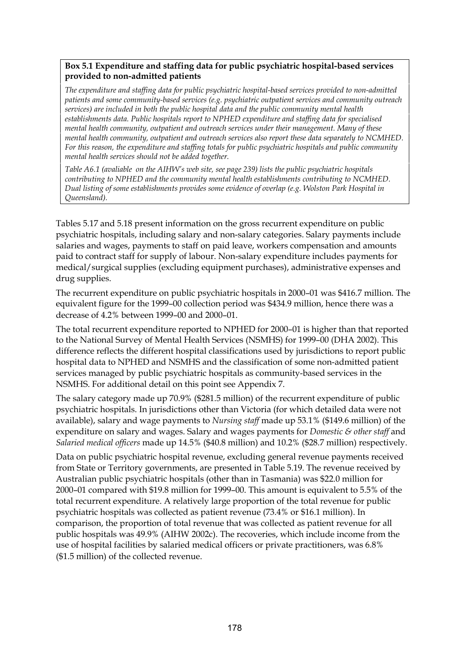#### **Box 5.1 Expenditure and staffing data for public psychiatric hospital-based services provided to non-admitted patients**

*The expenditure and staffing data for public psychiatric hospital-based services provided to non-admitted patients and some community-based services (e.g. psychiatric outpatient services and community outreach services) are included in both the public hospital data and the public community mental health establishments data. Public hospitals report to NPHED expenditure and staffing data for specialised mental health community, outpatient and outreach services under their management. Many of these mental health community, outpatient and outreach services also report these data separately to NCMHED. For this reason, the expenditure and staffing totals for public psychiatric hospitals and public community mental health services should not be added together.*

*Table A6.1 (avaliable on the AIHW's web site, see page 239) lists the public psychiatric hospitals contributing to NPHED and the community mental health establishments contributing to NCMHED. Dual listing of some establishments provides some evidence of overlap (e.g. Wolston Park Hospital in Queensland).*

Tables 5.17 and 5.18 present information on the gross recurrent expenditure on public psychiatric hospitals, including salary and non-salary categories. Salary payments include salaries and wages, payments to staff on paid leave, workers compensation and amounts paid to contract staff for supply of labour. Non-salary expenditure includes payments for medical/surgical supplies (excluding equipment purchases), administrative expenses and drug supplies.

The recurrent expenditure on public psychiatric hospitals in 2000–01 was \$416.7 million. The equivalent figure for the 1999–00 collection period was \$434.9 million, hence there was a decrease of 4.2% between 1999–00 and 2000–01.

The total recurrent expenditure reported to NPHED for 2000–01 is higher than that reported to the National Survey of Mental Health Services (NSMHS) for 1999–00 (DHA 2002). This difference reflects the different hospital classifications used by jurisdictions to report public hospital data to NPHED and NSMHS and the classification of some non-admitted patient services managed by public psychiatric hospitals as community-based services in the NSMHS. For additional detail on this point see Appendix 7.

The salary category made up 70.9% (\$281.5 million) of the recurrent expenditure of public psychiatric hospitals. In jurisdictions other than Victoria (for which detailed data were not available), salary and wage payments to *Nursing staff* made up 53.1% (\$149.6 million) of the expenditure on salary and wages. Salary and wages payments for *Domestic & other staff* and *Salaried medical officers* made up 14.5% (\$40.8 million) and 10.2% (\$28.7 million) respectively.

Data on public psychiatric hospital revenue, excluding general revenue payments received from State or Territory governments, are presented in Table 5.19. The revenue received by Australian public psychiatric hospitals (other than in Tasmania) was \$22.0 million for 2000–01 compared with \$19.8 million for 1999–00. This amount is equivalent to 5.5% of the total recurrent expenditure. A relatively large proportion of the total revenue for public psychiatric hospitals was collected as patient revenue (73.4% or \$16.1 million). In comparison, the proportion of total revenue that was collected as patient revenue for all public hospitals was 49.9% (AIHW 2002c). The recoveries, which include income from the use of hospital facilities by salaried medical officers or private practitioners, was 6.8% (\$1.5 million) of the collected revenue.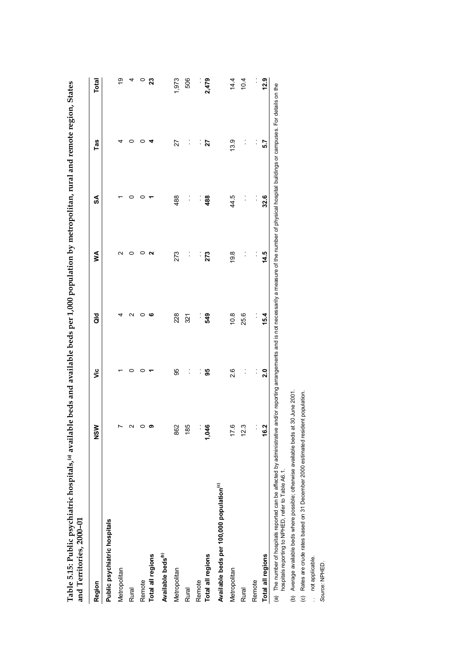| Region                                               | ร<br>2 | ۊ              | as<br>o        | ≸              | SA   | Tas            | <b>Total</b> |
|------------------------------------------------------|--------|----------------|----------------|----------------|------|----------------|--------------|
| Public psychiatric hospitals                         |        |                |                |                |      |                |              |
| Metropolitan                                         |        |                |                | N              |      |                | စ္           |
| Rural                                                |        | 0              |                |                |      |                | 4            |
| Remote                                               |        |                | 0              |                |      |                | $\circ$      |
| Total all regions                                    |        |                | ဖ              | Ν              |      |                | 23           |
| Available beds <sup>(b)</sup>                        |        |                |                |                |      |                |              |
| Metropolitan                                         | 862    | 95             | 228            | 273            | 488  | 27             | 1,973        |
| Rural                                                | 185    | $\ddot{\cdot}$ | 321            | :              |      | $\ddot{\cdot}$ | 506          |
| Remote                                               |        | $\ddot{\cdot}$ | Ì,             | $\ddot{\cdot}$ | :    | $\frac{1}{2}$  |              |
| Total all regions                                    | 1,046  | 99             | 549            | 273            | 488  | 27             | 2,479        |
| Available beds per 100,000 population <sup>(c)</sup> |        |                |                |                |      |                |              |
| Metropolitan                                         | 17.6   | 2.6            | 10.8           | 19.8           | 44.5 | 13.9           | 14.4         |
| Rural                                                | 12.3   |                | 25.6           |                |      |                | 10.4         |
| Remote                                               |        | $\vdots$       | $\ddot{\cdot}$ | $\ddot{\cdot}$ |      | $\ddot{\cdot}$ | $\vdots$     |
| Total all regions                                    | 16.2   | $\overline{a}$ | 15.4           | 14.5           | 32.6 | 5.7            | 12.9         |

**Table 5.15: Public psychiatric hospitals,(a) available beds and available beds per 1,000 population by metropolitan, rural and remote region, States** đ  $\cdot$ J. j. É ŀ,  $\ddot{\cdot}$  $\tilde{\phantom{a}}$ ł,  $11.11111$ j. ł,  $11.11 \pm 1.1$  $\ddot{a}$  $\mathbf{A}$  . The contribution of  $\mathbf{A}$  $T$  and  $\tau$  is a family  $T_{\rm eff}$ 

hospitals reporting to NPHED, refer to Table A6.1. hospitals reporting to NPHED, refer to Table A6.1.

(b) Average available beds where possible; otherwise available beds at 30 June 2001.

(b) Average available beds where possible; otherwise available beds at 30 June 2001.<br>(c) Rates are crude rates based on 31 December 2000 estimated resident population. (c) Rates are crude rates based on 31 December 2000 estimated resident population.

. not applicable.

.. not applicable.<br>Source: NPHED. *Source:* NPHED.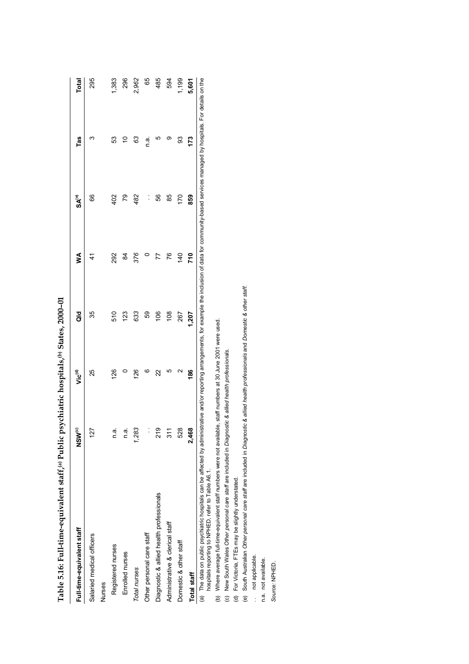| $\frac{1}{2}$                                                                                                                                                                                                        |                   | $\mathbf{r}$       | $\frac{2}{3}$<br>;<br>; |                |                |        |       |
|----------------------------------------------------------------------------------------------------------------------------------------------------------------------------------------------------------------------|-------------------|--------------------|-------------------------|----------------|----------------|--------|-------|
| Full-time-equivalent staff                                                                                                                                                                                           | NSW <sup>e)</sup> | Vic <sup>(d)</sup> | ă                       | ⋚              | SA®            | Tas    | Total |
| Salaried medical officers                                                                                                                                                                                            | 127               | 25                 | 35                      | 4              | 89             | ო      | 295   |
| Nurses                                                                                                                                                                                                               |                   |                    |                         |                |                |        |       |
| Registered nurses                                                                                                                                                                                                    | n a               | 126                | 510                     | 292            | 402            | S3     | 1,383 |
| Enrolled nurses                                                                                                                                                                                                      | n a.              |                    | 123                     | 84             | 79             | S      | 296   |
| Total nurses                                                                                                                                                                                                         | 1,283             | 126                | 633                     | 376            | 482            | 3      | 2,962 |
| Other personal care staff                                                                                                                                                                                            | :                 | ဖ                  | 59                      |                | $\ddot{\cdot}$ | e<br>U | 89    |
| Diagnostic & allied health professionals                                                                                                                                                                             | 81<br>Տ           | 22                 | $\frac{8}{3}$           | 77             | 99             | ю      | 485   |
| Administrative & clerical staff                                                                                                                                                                                      | $\frac{31}{1}$    | ഥ                  | $\frac{8}{10}$          | 76             | 85             | တ      | 594   |
| Domestic & other staff                                                                                                                                                                                               | 528               | ี                  | 267                     | $\frac{40}{5}$ | 170            | 83     | 1,199 |
| Total staff                                                                                                                                                                                                          | 2,468             | 186                | 1,207                   | 710            | 859            | 173    | 5,601 |
| (a) The data on public pospitatic hospitals can be affected by administrative and/or reporting arrangements, for example the inclusion of data for community-based services managed by hospitals. For details on the |                   |                    |                         |                |                |        |       |

Table 5.16: Full-time-equivalent staff.<sup>(a)</sup> Public psychiatric hospitals.<sup>(b)</sup> States, 2000-01 **Table 5.16: Full-time-equivalent staff,(a) Public psychiatric hospitals,(b) States, 2000–01** hospitals reporting to NPHED, refer to Table A6.1. hospitals reporting to NPHED, refer to Table A6.1.

(b) Where average full-time-equivalent staff numbers were not available, staff numbers at 30 June 2001 were used.

(c) New South Wales *Other personal care staff* are included in *Diagnostic & allied health professionals*.

(d) For Victoria, FTEs may be slightly understated.

(b) Where average full-time-equivalent staff numbers were not available, staff numbers at 30 June 2001 were used.<br>(c) New South Wales *Other personal care staff a*re included in *Diagnostic & allied health professionals.*<br> (e) South Australian *Other personal care staff* are included in *Diagnostic & allied health professionals* and *Domestic & other staff*.

.. not applicable. . . not applicable.

n.a. not available. n.a. not available.

Source: NPHED. *Source:* NPHED.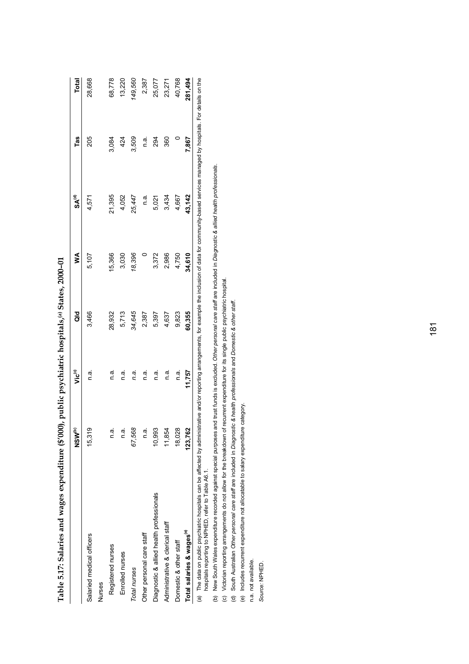|                                                                                                                                                                                                                       | ່         |                    |        |        |                   |       |         |
|-----------------------------------------------------------------------------------------------------------------------------------------------------------------------------------------------------------------------|-----------|--------------------|--------|--------|-------------------|-------|---------|
|                                                                                                                                                                                                                       | ™s<br>NSM | Vic <sup>(c)</sup> | ă      | ⋚      | SA <sup>(d)</sup> | Tas   | Total   |
| Salaried medical officers                                                                                                                                                                                             | 15.318    | ີ<br>ເ             | 3,466  | 5,107  | 4,571             | 205   | 28,668  |
| <b>Nurses</b>                                                                                                                                                                                                         |           |                    |        |        |                   |       |         |
| Registered nurses                                                                                                                                                                                                     | e<br>⊆    | n.a.               | 28,932 | 15,366 | 21,395            | 3,084 | 68,778  |
| Enrolled nurses                                                                                                                                                                                                       | n.a       | n.a.               | 5,713  | 3,030  | 4,052             | 424   | 13,220  |
| Total nurses                                                                                                                                                                                                          | 67,568    | n.a.               | 34,645 | 18,396 | 25,447            | 3,509 | 149,560 |
| Other personal care staff                                                                                                                                                                                             | n.ai      | n.a.               | 2,387  |        | n.a.              | n a   | 2,387   |
| Diagnostic & allied health professionals                                                                                                                                                                              | 10.993    | n.a.               | 5,397  | 3,372  | 5,021             | 294   | 25,077  |
| Administrative & clerical staff                                                                                                                                                                                       | 11,854    | n.a.               | 4,637  | 2,986  | 3,434             | 360   | 23,271  |
| Domestic & other staff                                                                                                                                                                                                | 18,028    | n.a.               | 9,823  | 4,750  | 4,667             |       | 40,768  |
| Total salaries & wages <sup>(e)</sup>                                                                                                                                                                                 | 123,762   | 11,757             | 60,355 | 34,610 | 43,142            | 7,867 | 281,494 |
| (a) The data on public psychiatric hospitals can be affected by administrative and/or reporting arrangements, for example the inclusion of data for community-based services managed by hospitals. For details on the |           |                    |        |        |                   |       |         |

Table 5.17: Salaries and wages expenditure (\$'000), public psychiatric hospitals,<sup>(a)</sup> States, 2000-01 **Table 5.17: Salaries and wages expenditure (\$'000), public psychiatric hospitals,(a) States, 2000–01**

 $\sum_{i=1}^{n}$ uyu<br>G  $\frac{2}{3}$ יש:<br>.<br>א eporting dire י<br>ל i ne datai on public psycrilatric nospitals can be affective de la<br>hospitals reporting to NPHED, refer to Table A6.1. hospitals reporting to NPHED, refer to Table A6.1.  $\tilde{g}$ 

(b) New South Wales expenditure recorded against special purposes and trust funds is excluded. O*ther personal care staff* are included in *Diagnostic & allied health professionals.*<br>(c) Victorian reporting arrangements (b) New South Wales expenditure recorded against special purposes and trust funds is excluded. *Other personal care staff* are included in *Diagnostic & allied health professionals*.

(c) Victorian reporting arrangements do not allow for the breakdown of recurrent expenditure for its single public psychiatric hospital.

(d) South Australian *Other personal care staff* are included in *Diagnostic & health professionals* and *Domestic & other staff*.

(e) Includes recurrent expenditure not allocatable to salary expenditure category. (e) Includes recurrent expenditure not allocatable to salary expenditure category.

n.a. not available. n.a. not available.

Source: NPHED. *Source:* NPHED.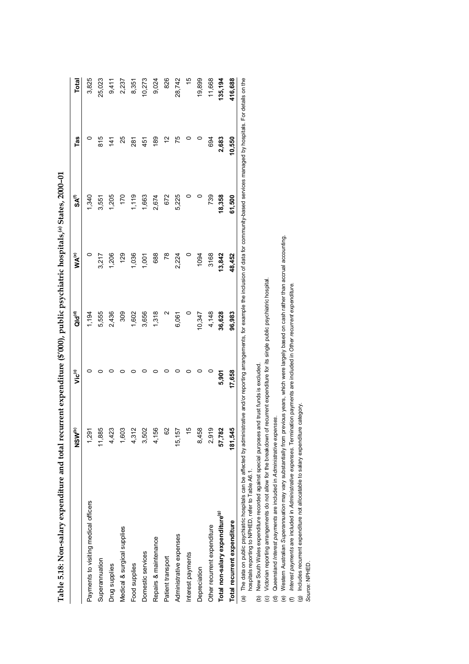|                                                                                                                                                                                                         | ™<br>NSM | Vic <sup>(c)</sup> | ald <sup>e</sup> | <b>WA<sup>(e)</sup></b> | SA <sup>C</sup> | Tas       | Total         |
|---------------------------------------------------------------------------------------------------------------------------------------------------------------------------------------------------------|----------|--------------------|------------------|-------------------------|-----------------|-----------|---------------|
| Payments to visiting medical officers                                                                                                                                                                   | 1,291    |                    | 1,194            | $\circ$                 | 1,340           |           | 3,825         |
| Superannuation                                                                                                                                                                                          | 11,885   |                    | 5,555            | 3,217                   | 3,551           | 815       | 25,023        |
| Drug supplies                                                                                                                                                                                           | 4,423    |                    | 2,436            | 1,206                   | 1,205           | 141       | 9,411         |
| Medical & surgical supplies                                                                                                                                                                             | 1,603    |                    | 309              | 129                     | 170             | 25        | 2,237         |
| Food supplies                                                                                                                                                                                           | 4,312    |                    | 1,602            | 1,036                   | 1,119           | 281       | 8,351         |
| Domestic services                                                                                                                                                                                       | 3,502    |                    | 3,656            | 1,001                   | 1,663           | 451       | 10,273        |
| Repairs & maintenance                                                                                                                                                                                   | 4,156    |                    | 1,318            | 688                     | 2,674           | 189       | 9,024         |
| Patient transport                                                                                                                                                                                       | ò        |                    |                  | $\overline{78}$         | 672             | <u>يہ</u> | 826           |
| Administrative expenses                                                                                                                                                                                 | 15,157   |                    | 6,061            | 2,224                   | 5,225           | 75        | 28,742        |
| Interest payments                                                                                                                                                                                       |          |                    |                  | $\circ$                 |                 |           | $\frac{1}{2}$ |
| Depreciation                                                                                                                                                                                            | 8,458    |                    | 10,347           | 1094                    |                 |           | 19,899        |
| Other recurrent expenditure                                                                                                                                                                             | 2,919    |                    | 4,148            | 3168                    | 739             | 694       | 11,668        |
| Total non-salary expenditure <sup>(9)</sup>                                                                                                                                                             | 57,782   | 5,901              | 36,628           | 13,842                  | 18,358          | 2,683     | 135, 194      |
| Total recurrent expenditure                                                                                                                                                                             | 181,54   | 17,658             | 96,983           | 48,452                  | 61,500          | 10,550    | 416,688       |
| (a) The data on public pospitals can be affected by administrative and/or reporting arrangements for example the inclusion of data for community-based services managed by bospitals For details on the |          |                    |                  |                         |                 |           |               |

Table 5.18: Non-salary expenditure and total recurrent expenditure (\$'000), public psychiatric hospitals,<sup>(a)</sup> States, 2000-01 **Table 5.18: Non-salary expenditure and total recurrent expenditure (\$'000), public psychiatric hospitals,(a) States, 2000–01**

ann no (a) The data on public psychiatric hospitals can be affected by administrative and/or reporting arrangements, for example the inclusion of data for community-based services managed by hospitals. For details on the (a) The data on public psychiatric hospitals can be affe<br>hospitals reporting to NPHED, refer to Table A6.1. hospitals reporting to NPHED, refer to Table A6.1.

(b) New South Wales expenditure recorded against special purposes and trust funds is excluded.

(c) Victorian reporting arrangements do not allow for the breakdown of recurrent expenditure for its single public psychiatric hospital.

(d) Queensland *Interest payments* are included in *Administrative expenses*.

(b) New South Wales expenditure recorded against special purposes and trust funds is excluded.<br>(c) Victorian reporting arrangements do not allow for the breakdown of recurrent expenditure for its single public psychiatric (e) Western Australian *Superannuation* may vary substantially from previous years, which were largely based on cash rather than accrual accounting.

(f) *Interest payments* are included in *Administrative expenses*. Termination payments are included in *Other recurrent expenditure*.

(g) Includes recurrent expenditure not allocatable to salary expenditure category.

*Source:* NPHED.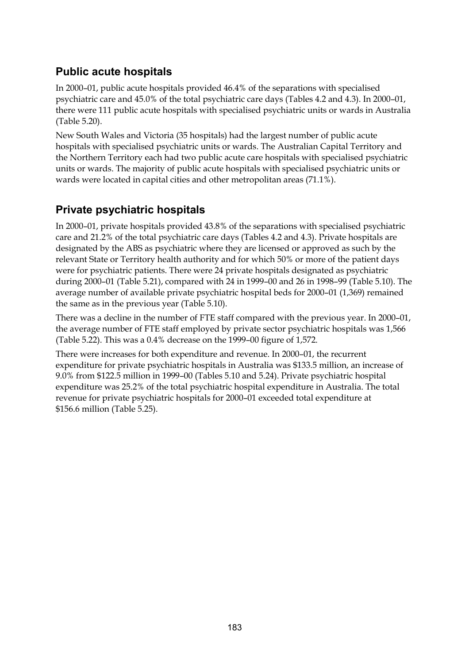### **Public acute hospitals**

In 2000–01, public acute hospitals provided 46.4% of the separations with specialised psychiatric care and 45.0% of the total psychiatric care days (Tables 4.2 and 4.3). In 2000–01, there were 111 public acute hospitals with specialised psychiatric units or wards in Australia (Table 5.20).

New South Wales and Victoria (35 hospitals) had the largest number of public acute hospitals with specialised psychiatric units or wards. The Australian Capital Territory and the Northern Territory each had two public acute care hospitals with specialised psychiatric units or wards. The majority of public acute hospitals with specialised psychiatric units or wards were located in capital cities and other metropolitan areas (71.1%).

### **Private psychiatric hospitals**

In 2000–01, private hospitals provided 43.8% of the separations with specialised psychiatric care and 21.2% of the total psychiatric care days (Tables 4.2 and 4.3). Private hospitals are designated by the ABS as psychiatric where they are licensed or approved as such by the relevant State or Territory health authority and for which 50% or more of the patient days were for psychiatric patients. There were 24 private hospitals designated as psychiatric during 2000–01 (Table 5.21), compared with 24 in 1999–00 and 26 in 1998–99 (Table 5.10). The average number of available private psychiatric hospital beds for 2000–01 (1,369) remained the same as in the previous year (Table 5.10).

There was a decline in the number of FTE staff compared with the previous year. In 2000–01, the average number of FTE staff employed by private sector psychiatric hospitals was 1,566 (Table 5.22). This was a 0.4% decrease on the 1999–00 figure of 1,572.

There were increases for both expenditure and revenue. In 2000–01, the recurrent expenditure for private psychiatric hospitals in Australia was \$133.5 million, an increase of 9.0% from \$122.5 million in 1999–00 (Tables 5.10 and 5.24). Private psychiatric hospital expenditure was 25.2% of the total psychiatric hospital expenditure in Australia. The total revenue for private psychiatric hospitals for 2000–01 exceeded total expenditure at \$156.6 million (Table 5.25).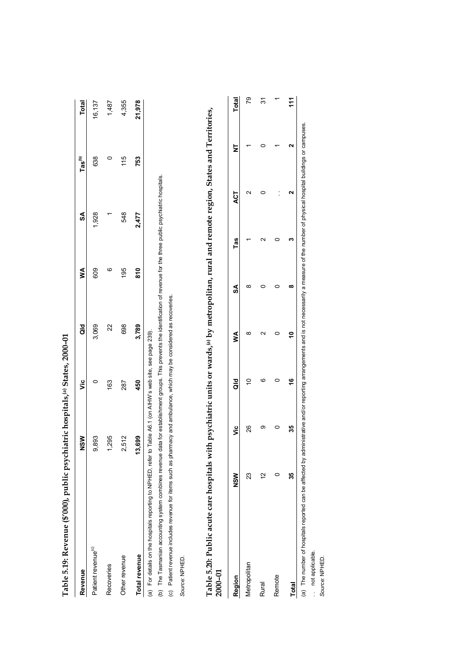| Revenue                                                       | <b>NSM</b> | ت<br>آ                                         | ă     | ≸   | SA    | Tas <sup>(b)</sup> | Total  |
|---------------------------------------------------------------|------------|------------------------------------------------|-------|-----|-------|--------------------|--------|
| Patient revenue <sup>(c)</sup>                                | 9,893      |                                                | 3,069 | 609 | 1,928 | 638                | 16,137 |
| Recoveries                                                    | 295        | 163                                            | 22    | ဖ   |       |                    | 1,487  |
| Other revenue                                                 | 2,512      | 287                                            | 698   | 195 | 548   | 115                | 4,355  |
| Total revenue                                                 | 8,699<br>٣ | 450                                            | 3,789 | 810 | 2.477 | 753                | 21,978 |
| (a) For details on the hospitals reporting to NPHED, refer to |            | Table A6.1 (on AIHW's web site, see page 239). |       |     |       |                    |        |

Table 5.19: Revenue (\$'000), public psychiatric hospitals.<sup>(a)</sup> States. 2000-01 **Table 5.19: Revenue (\$'000), public psychiatric hospitals,(a) States, 2000–01**

(b) The Tasmanian accounting system combines revenue data for establishment groups. This prevents the identification of revenue for the three public psychiatric hospitals. (b) The Tasmanian accounting system combines revenue data for establishment groups. This prevents the identification of revenue for the three public psychiatric hospitals.

(c) Patient revenue includes revenue for items such as pharmacy and ambulance, which may be considered as recoveries. (c) Patient revenue includes revenue for items such as pharmacy and ambulance, which may be considered as recoveries.

Source: NPHED. *Source:* NPHED.

| ֧֚֬֓֓֓ <b>֓</b>                              |         |
|----------------------------------------------|---------|
|                                              |         |
|                                              |         |
|                                              |         |
|                                              |         |
|                                              |         |
|                                              |         |
| $\vdots$                                     |         |
|                                              |         |
| itan rural and remote region States and Term |         |
|                                              |         |
|                                              |         |
|                                              |         |
|                                              |         |
|                                              |         |
|                                              |         |
|                                              |         |
|                                              |         |
| ני ושי הי<br>$\frac{1}{2}$                   |         |
|                                              |         |
|                                              |         |
| ה היא דוו                                    |         |
|                                              |         |
|                                              |         |
|                                              |         |
|                                              |         |
|                                              |         |
|                                              |         |
| $\mathbf{r}$                                 |         |
| ,                                            |         |
|                                              |         |
| Í                                            |         |
|                                              |         |
|                                              |         |
|                                              |         |
|                                              |         |
|                                              |         |
|                                              |         |
|                                              |         |
| Table 5.20: Public acute care hospital       |         |
|                                              | וט⊏טע   |
|                                              | i<br>Co |
|                                              |         |

| Table 5.20: Public acute care hospitals with psychiatric units or wards, <sup>(a)</sup> by metropolitan, rural and remote region, States and Territories,<br>$2000 - 01$ |             |        |        |   |   |     |     |                         |     |
|--------------------------------------------------------------------------------------------------------------------------------------------------------------------------|-------------|--------|--------|---|---|-----|-----|-------------------------|-----|
| Region                                                                                                                                                                   | NSW         | ن<br>آ | ਰ<br>ਹ | ≸ | S | Tas | ACT | Total<br>$\overline{z}$ |     |
| <b>Metropolitan</b>                                                                                                                                                      | 23          | 26     |        |   |   |     |     |                         | 79  |
| <b>Rural</b>                                                                                                                                                             | $\tilde{c}$ |        |        |   |   |     |     |                         | 5   |
| Remote                                                                                                                                                                   |             |        |        |   |   |     |     |                         |     |
| Total                                                                                                                                                                    | ă           |        |        |   |   |     |     |                         | 111 |

(a) The number of hospitals reported can be affected by administrative and/or reporting arrangements and is not necessarily a measure of the number of physical hospital buildings or campuses. (a) The number of hospitals reported can be affected by administrative and/or reporting arrangements and is not necessarily a measure of the number of physical hospital buildings or campuses. .. not applicable. . . not applicable.

Source: NPHED. *Source:* NPHED.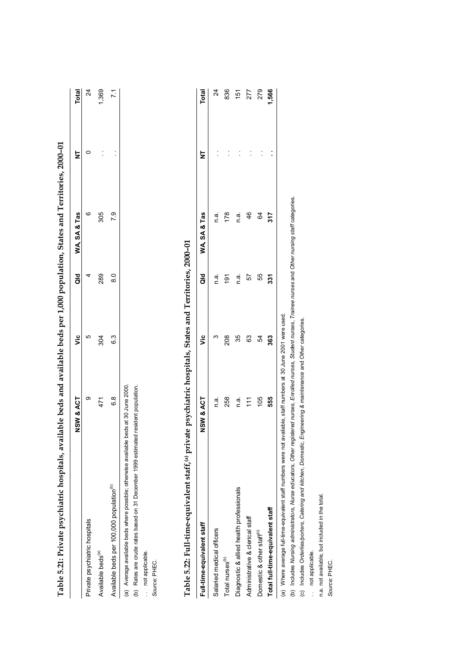| Table 5.21: Private psychiatric hospitals, available beds and available beds per 1,000 population, States and Territories, 2000-01 |           |            |     |              |       |
|------------------------------------------------------------------------------------------------------------------------------------|-----------|------------|-----|--------------|-------|
|                                                                                                                                    | NSW & ACT | vic<br>Vic | ă   | WA. SA & Tas | Total |
| Private psychiatric hospitals                                                                                                      | ග         | ഥ          | ₫   | α            |       |
| Available beds                                                                                                                     |           | 304        | 289 | 305          | .369  |

 $6.3$ 304

 $\overline{7.1}$ 

 $\frac{1}{2}$ j

305 7.9

289  $\frac{80}{2}$ 

Available beds per 100,000 population( $^{\rm (b)}$  6.3 6.3 6.3  $^{\rm (c)}$  6.3  $^{\rm (d)}$ (a) Average available beds where possible; otherwise available beds at 30 June 2000. (a) Average available beds where possible; otherwise available beds at 30 June 2000.  $6.\overline{8}$ Available beds per 100,000 population<sup>(b)</sup>

(b) Rates are crude rates based on 31 December 1999 estimated resident population. (b) Rates are crude rates based on 31 December 1999 estimated resident population.

.. not applicable. . . not applicable.

Source: PHEC. *Source:* PHEC.

| i<br>Coco         |
|-------------------|
|                   |
|                   |
|                   |
|                   |
|                   |
| I                 |
|                   |
|                   |
|                   |
|                   |
|                   |
| I                 |
|                   |
|                   |
|                   |
|                   |
|                   |
|                   |
|                   |
|                   |
|                   |
|                   |
|                   |
|                   |
|                   |
|                   |
|                   |
|                   |
| ï                 |
|                   |
|                   |
|                   |
|                   |
|                   |
|                   |
|                   |
|                   |
|                   |
|                   |
|                   |
| ؙؚ                |
|                   |
|                   |
|                   |
| --<br>-<br>-<br>- |
| l                 |
|                   |
| .<br>'<br>I<br>I  |

| Full-time-equivalent staff                                                                                                                                                                                                     | NSW & ACT | $\ddot{\bar{z}}$ | ទី     | WA, SA& Tas | ₹                    | <b>Total</b>   |
|--------------------------------------------------------------------------------------------------------------------------------------------------------------------------------------------------------------------------------|-----------|------------------|--------|-------------|----------------------|----------------|
| Salaried medical officers                                                                                                                                                                                                      | n a       | ო                | ດ<br>C | ີ້<br>ຕ     |                      | $\overline{2}$ |
| Total nurses <sup>(b)</sup>                                                                                                                                                                                                    | 258       | 208              | ë      | 178         |                      | 836            |
| Diagnostic & allied health professionals                                                                                                                                                                                       | n.a       | 35               | ີ<br>⊂ | ھ<br>آ      |                      | 151            |
| Administrative & clerical staff                                                                                                                                                                                                | Ë         | 63               | 57     | 46          | $\ddot{\phantom{a}}$ | 277            |
| Domestic & other staff <sup>®</sup>                                                                                                                                                                                            | 105       | 54               | 55     | 84          |                      | 279            |
| Total full-time-equivalent staff                                                                                                                                                                                               | 555       | 363              | 331    | 317         |                      | 1,566          |
| position of the control of the condensive placific in example to the control of the control of the control of the control of the control of the control of the control of the control of the control of the control of the con |           |                  |        |             |                      |                |

(a) Where average full-time-equivalent staff numbers were not available, staff numbers at 30 June 2001 were used. (a) Where average full-time-equivalent staff numbers were not available, staff numbers at 30 June 2001 were used.

(b) Includes Nursing administrators, Nurse educators, Other registered nurses, Enrolled nurses, Student nurses, Trainee nurses and Other nursing staff categories. (b) Includes *Nursing administrators*, *Nurse educators*, *Other registered nurses*, *Enrolled nurses*, *Student nurses*, *Trainee nurses* and *Other nursing staff* categories.

(c) Includes Orderlies/porters, Catering and kitchen, Domestic, Engineering & maintenance and Other categories. (c) Includes *Orderlies/porters*, *Catering and kitchen*, *Domestic*, *Engineering & maintenance* and *Other* categories.

.. not applicable. .. not applicable.

n.a. not available, but included in the total. n.a. not available, but included in the total.

Source: PHEC. *Source:* PHEC.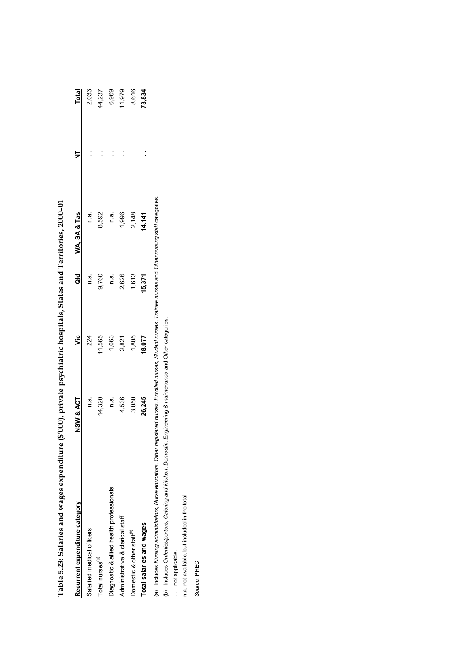| Recurrent expenditure category           | NSW & ACT | ى<br>7 | a<br>a        | WA, SA& Tas     | $\overline{z}$ | <b>Total</b>    |
|------------------------------------------|-----------|--------|---------------|-----------------|----------------|-----------------|
| Salaried medical officers                | n.a.      | 224    | n.a.          | n.a.            |                |                 |
| Total nurses <sup>(a)</sup>              | 14,320    | 11,565 | 9,760         | 8,592           |                | 2,033<br>14,237 |
| Diagnostic & allied health professionals | n.a.      | 1,663  | $\frac{a}{c}$ | n.a             |                |                 |
| Administrative & clerical staff          | 4,536     | 2,821  | 2,626         | 1,996           | $\ddot{\cdot}$ | 6,969<br>11,979 |
| Domestic & other staff <sup>®</sup>      | 3,050     | 1,805  | 1,613         |                 |                | 8,616           |
| Total salaries and wages                 | 26,245    | 18,077 | 15,371        | 2,148<br>14,141 |                | 73,834          |
|                                          |           |        |               |                 |                |                 |

Table 5.23: Salaries and wages expenditure (\$'000), private psychiatric hospitals, States and Territories, 2000-01 **Table 5.23: Salaries and wages expenditure (\$'000), private psychiatric hospitals, States and Territories, 2000–01**

(a) Includes Nursing administrators, Nurse educators, Other registered nurses, Enrolled nurses, Student nurses, Trainee nurses and Other nursing staff categories.<br>(b) Includes Orderlies/porters, Catering and kitchen, Domes (a) Includes *Nursing administrators*, *Nurse educators*, *Other registered nurses*, *Enrolled nurses*, *Student nurses*, *Trainee nurses* and *Other nursing staff* categories.

(b) Includes *Orderlies/porters*, *Catering and kitchen*, *Domestic*, *Engineering & maintenance* and *Other* categories.

.. not applicable. .. not applicable.

n.a. not available, but included in the total. n.a. not available, but included in the total.

Source: PHEC. *Source:* PHEC.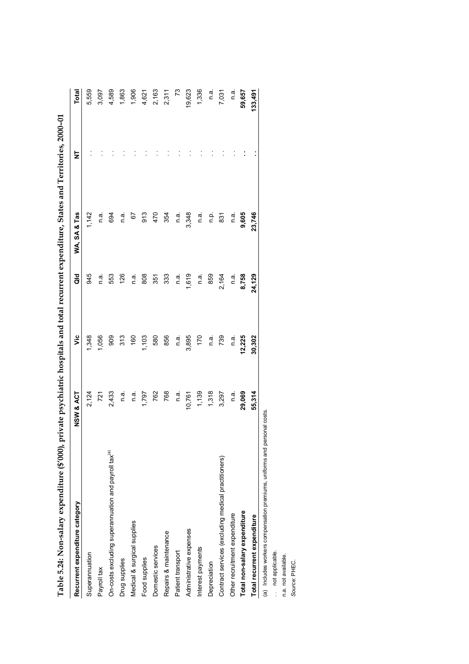| Recurrent expenditure category                                           | NSW & ACT | ۊ      | ਰ<br>ਹ | WA, SA & Tas | ż | Total   |
|--------------------------------------------------------------------------|-----------|--------|--------|--------------|---|---------|
| Superannuation                                                           | 2,124     | 1,348  | 945    | 1,142        |   | 5,559   |
| Payroll tax                                                              | 721       | 1,056  | n.a.   | n.a.         |   | 3,097   |
| On-costs excluding superannuation and payroll tax <sup>(a)</sup>         | 2,433     | 909    | 553    | 694          |   | 4,589   |
| Drug supplies                                                            | n.a.      | 313    | 126    | n.a.         |   | 1,863   |
| Medical & surgical supplies                                              | n a.      | 160    | n a    | 5            |   | 1,906   |
| Food supplies                                                            | 1,797     | 1,103  | 808    | 913          |   | 4,621   |
| Domestic services                                                        | 762       | 580    | 351    | 470          |   | 2,163   |
| Repairs & maintenance                                                    | 768       | 856    | 333    | 354          |   | 2,311   |
| Patient transport                                                        | n.a.      | n.a.   | n.a    | e.⊓          |   | 73      |
| Administrative expenses                                                  | 10,761    | 3,895  | 1,619  | 3,348        |   | 19,623  |
| Interest payments                                                        | 1,139     | 170    | n.ai   | n.a.         |   | 1,336   |
| Depreciation                                                             | 1,318     | n.ai   | 859    | ءِ<br>م      |   | n.a.    |
| Contract services (excluding medical practitioners)                      | 3,297     | 739    | 2,164  | 831          |   | 7,031   |
| Other recruitment expenditure                                            | n a.      | n.a.   | n.a.   | n a          |   | n a     |
| Total non-salary expenditure                                             | 29,069    | 12,225 | 8,758  | 9,605        |   | 59,657  |
| Total recurrent expenditure                                              | 55,314    | 30,302 | 24,129 | 23,746       |   | 133,491 |
| (a) Includes workers compensation premiums, uniforms and personal costs. |           |        |        |              |   |         |

Table 5.24: Non-salary expenditure (\$'000), private psychiatric hospitals and total recurrent expenditure. States and Territories, 2000–01 **Table 5.24: Non-salary expenditure (\$'000), private psychiatric hospitals and total recurrent expenditure, States and Territories, 2000–01**

per<br>L pre ਦੇ<br>ਬਿ

(a) Includes worker:<br>.. not applicable. . not applicable.

n.a. not available.<br>Source: PHEC. n.a. not available.

*Source:* PHEC.